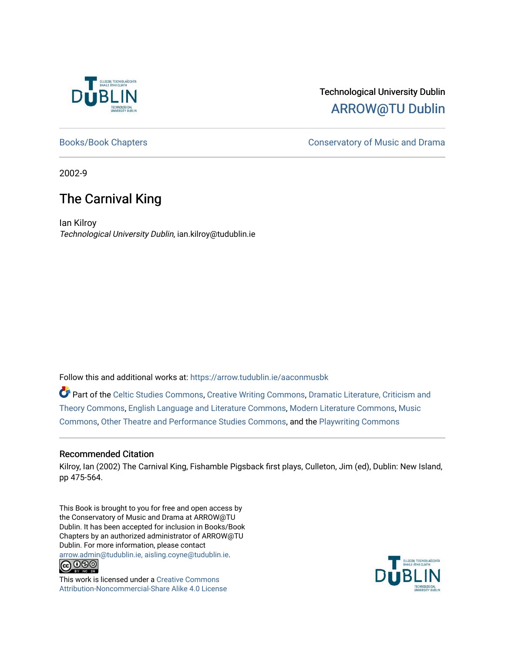

# Technological University Dublin [ARROW@TU Dublin](https://arrow.tudublin.ie/)

[Books/Book Chapters](https://arrow.tudublin.ie/aaconmusbk) **Conservatory of Music and Drama** 

2002-9

# The Carnival King

Ian Kilroy Technological University Dublin, ian.kilroy@tudublin.ie

Follow this and additional works at: [https://arrow.tudublin.ie/aaconmusbk](https://arrow.tudublin.ie/aaconmusbk?utm_source=arrow.tudublin.ie%2Faaconmusbk%2F6&utm_medium=PDF&utm_campaign=PDFCoverPages)

Part of the [Celtic Studies Commons,](http://network.bepress.com/hgg/discipline/477?utm_source=arrow.tudublin.ie%2Faaconmusbk%2F6&utm_medium=PDF&utm_campaign=PDFCoverPages) [Creative Writing Commons,](http://network.bepress.com/hgg/discipline/574?utm_source=arrow.tudublin.ie%2Faaconmusbk%2F6&utm_medium=PDF&utm_campaign=PDFCoverPages) Dramatic Literature, Criticism and [Theory Commons](http://network.bepress.com/hgg/discipline/555?utm_source=arrow.tudublin.ie%2Faaconmusbk%2F6&utm_medium=PDF&utm_campaign=PDFCoverPages), [English Language and Literature Commons,](http://network.bepress.com/hgg/discipline/455?utm_source=arrow.tudublin.ie%2Faaconmusbk%2F6&utm_medium=PDF&utm_campaign=PDFCoverPages) [Modern Literature Commons,](http://network.bepress.com/hgg/discipline/1050?utm_source=arrow.tudublin.ie%2Faaconmusbk%2F6&utm_medium=PDF&utm_campaign=PDFCoverPages) [Music](http://network.bepress.com/hgg/discipline/518?utm_source=arrow.tudublin.ie%2Faaconmusbk%2F6&utm_medium=PDF&utm_campaign=PDFCoverPages) [Commons](http://network.bepress.com/hgg/discipline/518?utm_source=arrow.tudublin.ie%2Faaconmusbk%2F6&utm_medium=PDF&utm_campaign=PDFCoverPages), [Other Theatre and Performance Studies Commons](http://network.bepress.com/hgg/discipline/558?utm_source=arrow.tudublin.ie%2Faaconmusbk%2F6&utm_medium=PDF&utm_campaign=PDFCoverPages), and the [Playwriting Commons](http://network.bepress.com/hgg/discipline/557?utm_source=arrow.tudublin.ie%2Faaconmusbk%2F6&utm_medium=PDF&utm_campaign=PDFCoverPages) 

## Recommended Citation

Kilroy, Ian (2002) The Carnival King, Fishamble Pigsback first plays, Culleton, Jim (ed), Dublin: New Island, pp 475-564.

This Book is brought to you for free and open access by the Conservatory of Music and Drama at ARROW@TU Dublin. It has been accepted for inclusion in Books/Book Chapters by an authorized administrator of ARROW@TU Dublin. For more information, please contact [arrow.admin@tudublin.ie, aisling.coyne@tudublin.ie](mailto:arrow.admin@tudublin.ie,%20aisling.coyne@tudublin.ie).<br>COOO



This work is licensed under a [Creative Commons](http://creativecommons.org/licenses/by-nc-sa/4.0/) [Attribution-Noncommercial-Share Alike 4.0 License](http://creativecommons.org/licenses/by-nc-sa/4.0/)

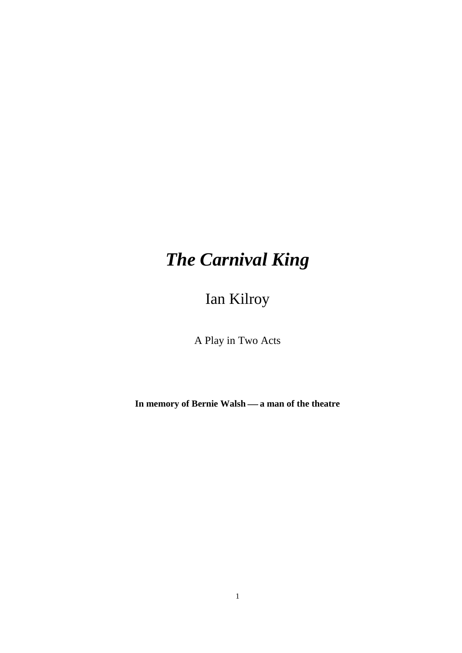# *The Carnival King*

Ian Kilroy

A Play in Two Acts

In memory of Bernie Walsh — a man of the theatre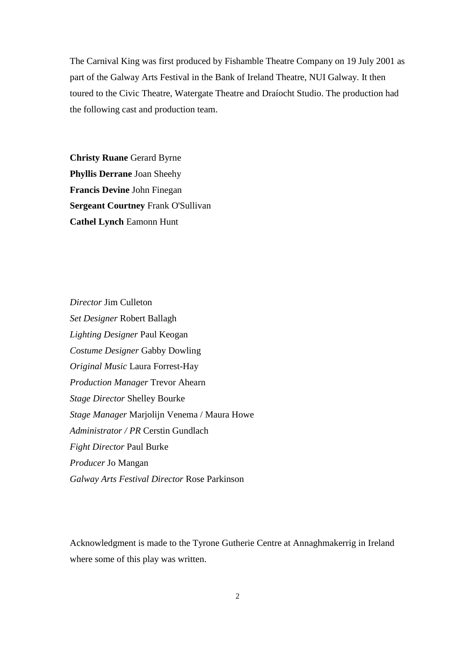The Carnival King was first produced by Fishamble Theatre Company on 19 July 2001 as part of the Galway Arts Festival in the Bank of Ireland Theatre, NUI Galway. It then toured to the Civic Theatre, Watergate Theatre and Draíocht Studio. The production had the following cast and production team.

**Christy Ruane** Gerard Byrne **Phyllis Derrane** Joan Sheehy **Francis Devine** John Finegan **Sergeant Courtney** Frank O'Sullivan **Cathel Lynch** Eamonn Hunt

*Director* Jim Culleton *Set Designer* Robert Ballagh *Lighting Designer* Paul Keogan *Costume Designer* Gabby Dowling *Original Music* Laura Forrest-Hay *Production Manager* Trevor Ahearn *Stage Director* Shelley Bourke *Stage Manager* Marjolijn Venema / Maura Howe *Administrator / PR* Cerstin Gundlach *Fight Director* Paul Burke *Producer* Jo Mangan *Galway Arts Festival Director* Rose Parkinson

Acknowledgment is made to the Tyrone Gutherie Centre at Annaghmakerrig in Ireland where some of this play was written.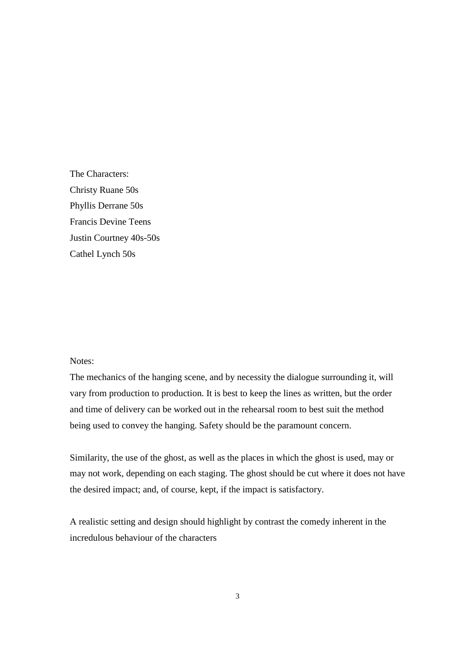The Characters: Christy Ruane 50s Phyllis Derrane 50s Francis Devine Teens Justin Courtney 40s-50s Cathel Lynch 50s

#### Notes:

The mechanics of the hanging scene, and by necessity the dialogue surrounding it, will vary from production to production. It is best to keep the lines as written, but the order and time of delivery can be worked out in the rehearsal room to best suit the method being used to convey the hanging. Safety should be the paramount concern.

Similarity, the use of the ghost, as well as the places in which the ghost is used, may or may not work, depending on each staging. The ghost should be cut where it does not have the desired impact; and, of course, kept, if the impact is satisfactory.

A realistic setting and design should highlight by contrast the comedy inherent in the incredulous behaviour of the characters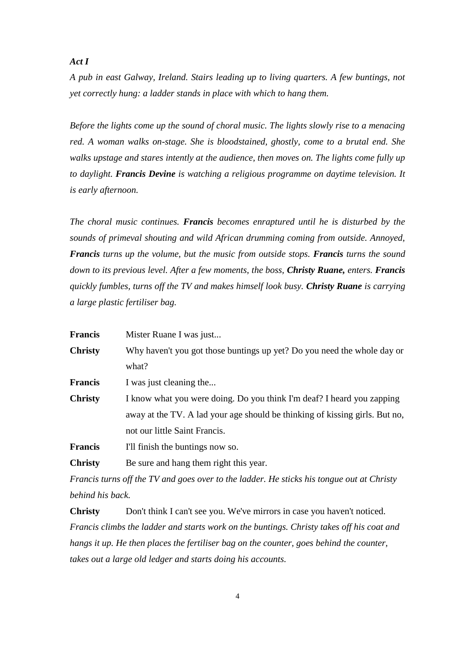### *Act I*

*A pub in east Galway, Ireland. Stairs leading up to living quarters. A few buntings, not yet correctly hung: a ladder stands in place with which to hang them.* 

*Before the lights come up the sound of choral music. The lights slowly rise to a menacing red. A woman walks on-stage. She is bloodstained, ghostly, come to a brutal end. She walks upstage and stares intently at the audience, then moves on. The lights come fully up to daylight. Francis Devine is watching a religious programme on daytime television. It is early afternoon.*

*The choral music continues. Francis becomes enraptured until he is disturbed by the sounds of primeval shouting and wild African drumming coming from outside. Annoyed, Francis turns up the volume, but the music from outside stops. Francis turns the sound down to its previous level. After a few moments, the boss, Christy Ruane, enters. Francis quickly fumbles, turns off the TV and makes himself look busy. Christy Ruane is carrying a large plastic fertiliser bag.*

| <b>Francis</b> | Mister Ruane I was just                                                     |
|----------------|-----------------------------------------------------------------------------|
| <b>Christy</b> | Why haven't you got those buntings up yet? Do you need the whole day or     |
|                | what?                                                                       |
| <b>Francis</b> | I was just cleaning the                                                     |
| <b>Christy</b> | I know what you were doing. Do you think I'm deaf? I heard you zapping      |
|                | away at the TV. A lad your age should be thinking of kissing girls. But no, |
|                | not our little Saint Francis.                                               |
| <b>Francis</b> | I'll finish the buntings now so.                                            |
| <b>Christy</b> | Be sure and hang them right this year.                                      |
|                |                                                                             |

*Francis turns off the TV and goes over to the ladder. He sticks his tongue out at Christy behind his back.*

**Christy** Don't think I can't see you. We've mirrors in case you haven't noticed. *Francis climbs the ladder and starts work on the buntings. Christy takes off his coat and hangs it up. He then places the fertiliser bag on the counter, goes behind the counter, takes out a large old ledger and starts doing his accounts.*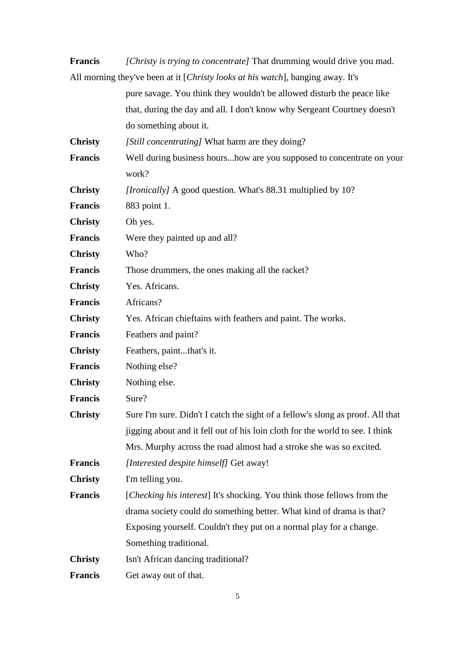**Francis** *[Christy is trying to concentrate]* That drumming would drive you mad. All morning they've been at it [*Christy looks at his watch*], banging away. It's

|                | pure savage. You think they wouldn't be allowed disturb the peace like         |
|----------------|--------------------------------------------------------------------------------|
|                | that, during the day and all. I don't know why Sergeant Courtney doesn't       |
|                | do something about it.                                                         |
| <b>Christy</b> | [Still concentrating] What harm are they doing?                                |
| <b>Francis</b> | Well during business hourshow are you supposed to concentrate on your          |
|                | work?                                                                          |
| <b>Christy</b> | [Ironically] A good question. What's 88.31 multiplied by 10?                   |
| <b>Francis</b> | 883 point 1.                                                                   |
| <b>Christy</b> | Oh yes.                                                                        |
| <b>Francis</b> | Were they painted up and all?                                                  |
| <b>Christy</b> | Who?                                                                           |
| <b>Francis</b> | Those drummers, the ones making all the racket?                                |
| <b>Christy</b> | Yes. Africans.                                                                 |
| <b>Francis</b> | Africans?                                                                      |
| <b>Christy</b> | Yes. African chieftains with feathers and paint. The works.                    |
| <b>Francis</b> | Feathers and paint?                                                            |
| <b>Christy</b> | Feathers, paintthat's it.                                                      |
| <b>Francis</b> | Nothing else?                                                                  |
| <b>Christy</b> | Nothing else.                                                                  |
| <b>Francis</b> | Sure?                                                                          |
| <b>Christy</b> | Sure I'm sure. Didn't I catch the sight of a fellow's slong as proof. All that |
|                | jigging about and it fell out of his loin cloth for the world to see. I think  |
|                | Mrs. Murphy across the road almost had a stroke she was so excited.            |
| <b>Francis</b> | [Interested despite himself] Get away!                                         |
| <b>Christy</b> | I'm telling you.                                                               |
| <b>Francis</b> | [Checking his interest] It's shocking. You think those fellows from the        |
|                | drama society could do something better. What kind of drama is that?           |
|                | Exposing yourself. Couldn't they put on a normal play for a change.            |
|                | Something traditional.                                                         |
| <b>Christy</b> | Isn't African dancing traditional?                                             |
| <b>Francis</b> | Get away out of that.                                                          |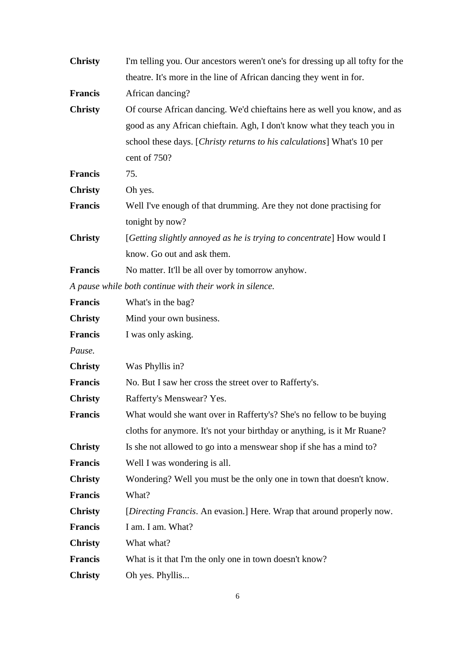| <b>Christy</b> | I'm telling you. Our ancestors weren't one's for dressing up all tofty for the |
|----------------|--------------------------------------------------------------------------------|
|                | theatre. It's more in the line of African dancing they went in for.            |
| <b>Francis</b> | African dancing?                                                               |
| <b>Christy</b> | Of course African dancing. We'd chieftains here as well you know, and as       |
|                | good as any African chieftain. Agh, I don't know what they teach you in        |
|                | school these days. [Christy returns to his calculations] What's 10 per         |
|                | cent of 750?                                                                   |
| <b>Francis</b> | 75.                                                                            |
| <b>Christy</b> | Oh yes.                                                                        |
| <b>Francis</b> | Well I've enough of that drumming. Are they not done practising for            |
|                | tonight by now?                                                                |
| <b>Christy</b> | [Getting slightly annoyed as he is trying to concentrate] How would I          |
|                | know. Go out and ask them.                                                     |
| <b>Francis</b> | No matter. It'll be all over by tomorrow anyhow.                               |
|                | A pause while both continue with their work in silence.                        |
| <b>Francis</b> | What's in the bag?                                                             |
| <b>Christy</b> | Mind your own business.                                                        |
| <b>Francis</b> | I was only asking.                                                             |
| Pause.         |                                                                                |
| <b>Christy</b> | Was Phyllis in?                                                                |
| <b>Francis</b> | No. But I saw her cross the street over to Rafferty's.                         |
| <b>Christy</b> | Rafferty's Menswear? Yes.                                                      |
| <b>Francis</b> | What would she want over in Rafferty's? She's no fellow to be buying           |
|                | cloths for anymore. It's not your birthday or anything, is it Mr Ruane?        |
| <b>Christy</b> | Is she not allowed to go into a menswear shop if she has a mind to?            |
| <b>Francis</b> | Well I was wondering is all.                                                   |
| <b>Christy</b> | Wondering? Well you must be the only one in town that doesn't know.            |
| <b>Francis</b> | What?                                                                          |
| <b>Christy</b> | [Directing Francis. An evasion.] Here. Wrap that around properly now.          |
| <b>Francis</b> | I am. I am. What?                                                              |
| <b>Christy</b> | What what?                                                                     |
| <b>Francis</b> | What is it that I'm the only one in town doesn't know?                         |
| <b>Christy</b> | Oh yes. Phyllis                                                                |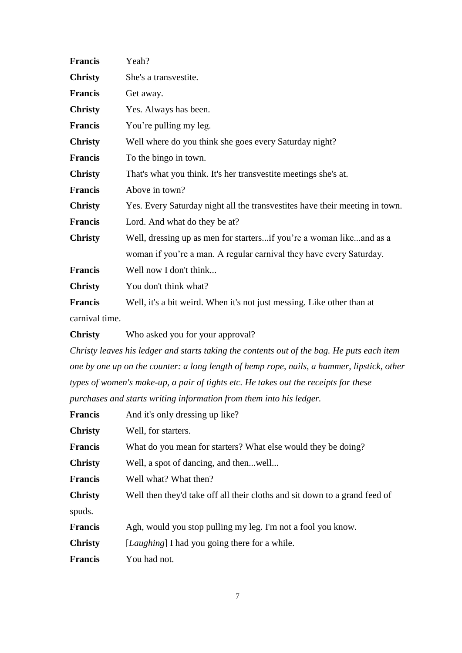| <b>Francis</b> | Yeah?                                                                       |
|----------------|-----------------------------------------------------------------------------|
| <b>Christy</b> | She's a transvestite.                                                       |
| <b>Francis</b> | Get away.                                                                   |
| <b>Christy</b> | Yes. Always has been.                                                       |
| <b>Francis</b> | You're pulling my leg.                                                      |
| <b>Christy</b> | Well where do you think she goes every Saturday night?                      |
| Francis        | To the bingo in town.                                                       |
| <b>Christy</b> | That's what you think. It's her transvestite meetings she's at.             |
| Francis        | Above in town?                                                              |
| <b>Christy</b> | Yes. Every Saturday night all the transvestites have their meeting in town. |
| <b>Francis</b> | Lord. And what do they be at?                                               |
| <b>Christy</b> | Well, dressing up as men for startersif you're a woman likeand as a         |
|                | woman if you're a man. A regular carnival they have every Saturday.         |
| <b>Francis</b> | Well now I don't think                                                      |
| <b>Christy</b> | You don't think what?                                                       |
| <b>Francis</b> | Well, it's a bit weird. When it's not just messing. Like other than at      |
| carnival time. |                                                                             |
|                |                                                                             |

**Christy** Who asked you for your approval?

*Christy leaves his ledger and starts taking the contents out of the bag. He puts each item one by one up on the counter: a long length of hemp rope, nails, a hammer, lipstick, other types of women's make-up, a pair of tights etc. He takes out the receipts for these purchases and starts writing information from them into his ledger.*

| <b>Francis</b> | And it's only dressing up like?                                            |
|----------------|----------------------------------------------------------------------------|
| <b>Christy</b> | Well, for starters.                                                        |
| <b>Francis</b> | What do you mean for starters? What else would they be doing?              |
| <b>Christy</b> | Well, a spot of dancing, and thenwell                                      |
| <b>Francis</b> | Well what? What then?                                                      |
| <b>Christy</b> | Well then they'd take off all their cloths and sit down to a grand feed of |
| spuds.         |                                                                            |
| <b>Francis</b> | Agh, would you stop pulling my leg. I'm not a fool you know.               |
| <b>Christy</b> | [ <i>Laughing</i> ] I had you going there for a while.                     |
| <b>Francis</b> | You had not.                                                               |
|                |                                                                            |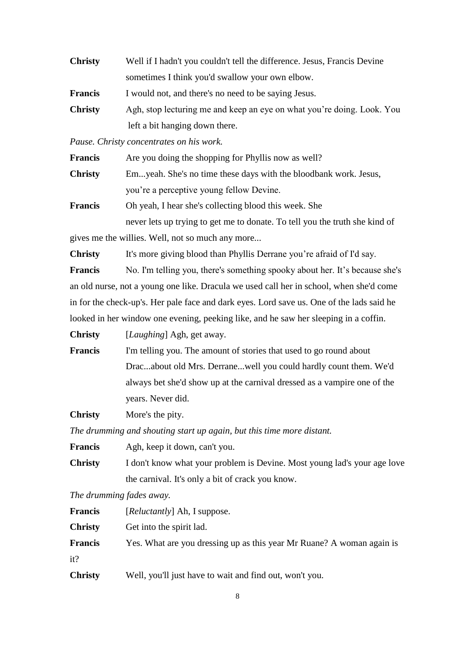| <b>Christy</b> | Well if I hadn't you couldn't tell the difference. Jesus, Francis Devine |
|----------------|--------------------------------------------------------------------------|
|                | sometimes I think you'd swallow your own elbow.                          |
| <b>Francis</b> | I would not, and there's no need to be saying Jesus.                     |
| <b>Christy</b> | Agh, stop lecturing me and keep an eye on what you're doing. Look. You   |
|                | left a bit hanging down there.                                           |

*Pause. Christy concentrates on his work.* 

| <b>Francis</b> | Are you doing the shopping for Phyllis now as well?              |
|----------------|------------------------------------------------------------------|
| <b>Christy</b> | Emyeah. She's no time these days with the bloodbank work. Jesus, |
|                | you're a perceptive young fellow Devine.                         |
| <b>Francis</b> | Oh yeah, I hear she's collecting blood this week. She            |

never lets up trying to get me to donate. To tell you the truth she kind of gives me the willies. Well, not so much any more...

**Christy** It's more giving blood than Phyllis Derrane you're afraid of I'd say.

**Francis** No. I'm telling you, there's something spooky about her. It's because she's an old nurse, not a young one like. Dracula we used call her in school, when she'd come in for the check-up's. Her pale face and dark eyes. Lord save us. One of the lads said he looked in her window one evening, peeking like, and he saw her sleeping in a coffin.

**Christy** [*Laughing*] Agh, get away.

**Francis** I'm telling you. The amount of stories that used to go round about Drac...about old Mrs. Derrane...well you could hardly count them. We'd always bet she'd show up at the carnival dressed as a vampire one of the years. Never did.

**Christy** More's the pity.

*The drumming and shouting start up again, but this time more distant.*

| <b>Francis</b> | Agh, keep it down, can't you.                                            |
|----------------|--------------------------------------------------------------------------|
| <b>Christy</b> | I don't know what your problem is Devine. Most young lad's your age love |
|                | the carnival. It's only a bit of crack you know.                         |

*The drumming fades away.*

| <b>Francis</b> | [ <i>Reluctantly</i> ] Ah, I suppose.                                 |
|----------------|-----------------------------------------------------------------------|
| <b>Christy</b> | Get into the spirit lad.                                              |
| <b>Francis</b> | Yes. What are you dressing up as this year Mr Ruane? A woman again is |
| it?            |                                                                       |
| <b>Christy</b> | Well, you'll just have to wait and find out, won't you.               |

8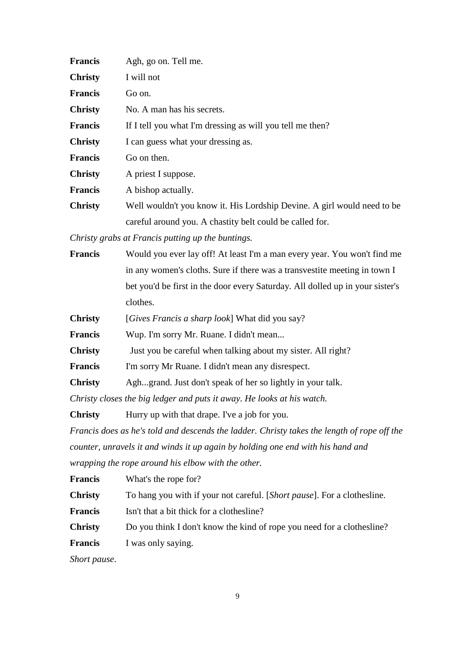| <b>Francis</b> | Agh, go on. Tell me.                                                    |
|----------------|-------------------------------------------------------------------------|
| <b>Christy</b> | I will not                                                              |
| <b>Francis</b> | Go on.                                                                  |
| <b>Christy</b> | No. A man has his secrets.                                              |
| <b>Francis</b> | If I tell you what I'm dressing as will you tell me then?               |
| <b>Christy</b> | I can guess what your dressing as.                                      |
| <b>Francis</b> | Go on then.                                                             |
| <b>Christy</b> | A priest I suppose.                                                     |
| <b>Francis</b> | A bishop actually.                                                      |
| <b>Christy</b> | Well wouldn't you know it. His Lordship Devine. A girl would need to be |
|                | careful around you. A chastity belt could be called for.                |

*Christy grabs at Francis putting up the buntings.*

| <b>Francis</b> | Would you ever lay off! At least I'm a man every year. You won't find me      |
|----------------|-------------------------------------------------------------------------------|
|                | in any women's cloths. Sure if there was a transvestite meeting in town I     |
|                | bet you'd be first in the door every Saturday. All dolled up in your sister's |
|                | clothes.                                                                      |

**Christy** [*Gives Francis a sharp look*] What did you say?

**Francis** Wup. I'm sorry Mr. Ruane. I didn't mean...

**Christy** Just you be careful when talking about my sister. All right?

**Francis** I'm sorry Mr Ruane. I didn't mean any disrespect.

**Christy** Agh...grand. Just don't speak of her so lightly in your talk.

*Christy closes the big ledger and puts it away. He looks at his watch.*

**Christy** Hurry up with that drape. I've a job for you.

*Francis does as he's told and descends the ladder. Christy takes the length of rope off the counter, unravels it and winds it up again by holding one end with his hand and wrapping the rope around his elbow with the other.*

| <b>Francis</b> | What's the rope for?                                                    |
|----------------|-------------------------------------------------------------------------|
| <b>Christy</b> | To hang you with if your not careful. [Short pause]. For a clothesline. |
| <b>Francis</b> | Isn't that a bit thick for a clothesline?                               |
| <b>Christy</b> | Do you think I don't know the kind of rope you need for a clothesline?  |
| <b>Francis</b> | I was only saying.                                                      |
|                |                                                                         |

*Short pause*.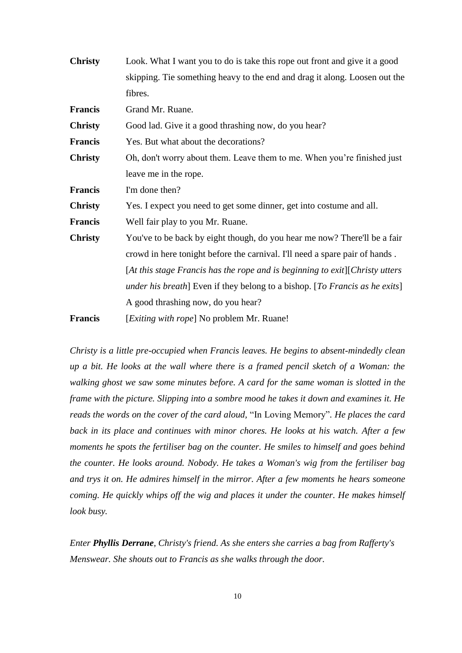| <b>Christy</b> | Look. What I want you to do is take this rope out front and give it a good          |
|----------------|-------------------------------------------------------------------------------------|
|                | skipping. Tie something heavy to the end and drag it along. Loosen out the          |
|                | fibres.                                                                             |
| <b>Francis</b> | Grand Mr. Ruane.                                                                    |
| <b>Christy</b> | Good lad. Give it a good thrashing now, do you hear?                                |
| <b>Francis</b> | Yes. But what about the decorations?                                                |
| <b>Christy</b> | Oh, don't worry about them. Leave them to me. When you're finished just             |
|                | leave me in the rope.                                                               |
| <b>Francis</b> | I'm done then?                                                                      |
| <b>Christy</b> | Yes. I expect you need to get some dinner, get into costume and all.                |
| <b>Francis</b> | Well fair play to you Mr. Ruane.                                                    |
| <b>Christy</b> | You've to be back by eight though, do you hear me now? There'll be a fair           |
|                | crowd in here tonight before the carnival. I'll need a spare pair of hands.         |
|                | $[At this stage Francis has the rope and is beginning to exit] (Christy utters)$    |
|                | <i>under his breath</i> ] Even if they belong to a bishop. [To Francis as he exits] |
|                | A good thrashing now, do you hear?                                                  |
| <b>Francis</b> | [ <i>Exiting with rope</i> ] No problem Mr. Ruane!                                  |

*Christy is a little pre-occupied when Francis leaves. He begins to absent-mindedly clean up a bit. He looks at the wall where there is a framed pencil sketch of a Woman: the walking ghost we saw some minutes before. A card for the same woman is slotted in the frame with the picture. Slipping into a sombre mood he takes it down and examines it. He reads the words on the cover of the card aloud,* "In Loving Memory"*. He places the card back in its place and continues with minor chores. He looks at his watch. After a few moments he spots the fertiliser bag on the counter. He smiles to himself and goes behind the counter. He looks around. Nobody. He takes a Woman's wig from the fertiliser bag and trys it on. He admires himself in the mirror. After a few moments he hears someone coming. He quickly whips off the wig and places it under the counter. He makes himself look busy.*

*Enter Phyllis Derrane, Christy's friend. As she enters she carries a bag from Rafferty's Menswear. She shouts out to Francis as she walks through the door.*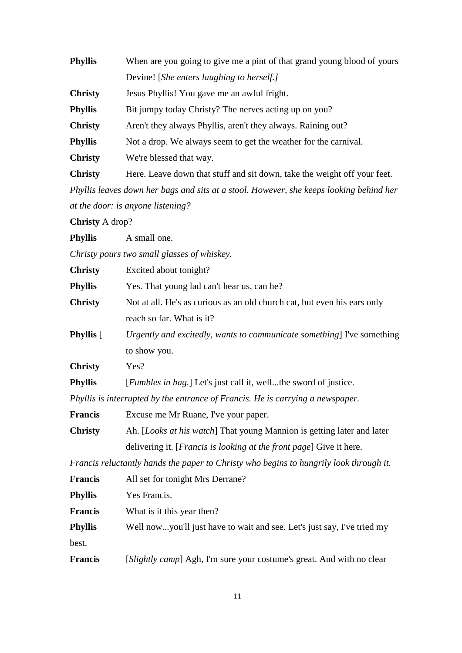| <b>Phyllis</b> | When are you going to give me a pint of that grand young blood of yours  |
|----------------|--------------------------------------------------------------------------|
|                | Devine! [She enters laughing to herself.]                                |
| <b>Christy</b> | Jesus Phyllis! You gave me an awful fright.                              |
| <b>Phyllis</b> | Bit jumpy today Christy? The nerves acting up on you?                    |
| <b>Christy</b> | Aren't they always Phyllis, aren't they always. Raining out?             |
| <b>Phyllis</b> | Not a drop. We always seem to get the weather for the carnival.          |
| <b>Christy</b> | We're blessed that way.                                                  |
| <b>Christy</b> | Here. Leave down that stuff and sit down, take the weight off your feet. |
|                |                                                                          |

*Phyllis leaves down her bags and sits at a stool. However, she keeps looking behind her at the door: is anyone listening?*

**Christy** A drop?

**Phyllis** A small one.

*Christy pours two small glasses of whiskey.*

| <b>Christy</b>   | Excited about tonight?                                                                 |
|------------------|----------------------------------------------------------------------------------------|
| <b>Phyllis</b>   | Yes. That young lad can't hear us, can he?                                             |
| <b>Christy</b>   | Not at all. He's as curious as an old church cat, but even his ears only               |
|                  | reach so far. What is it?                                                              |
| <b>Phyllis</b> [ | Urgently and excitedly, wants to communicate something] I've something                 |
|                  | to show you.                                                                           |
| <b>Christy</b>   | Yes?                                                                                   |
| <b>Phyllis</b>   | [ <i>Fumbles in bag.</i> ] Let's just call it, wellthe sword of justice.               |
|                  | Phyllis is interrupted by the entrance of Francis. He is carrying a newspaper.         |
| Francis          | Excuse me Mr Ruane, I've your paper.                                                   |
| <b>Christy</b>   | Ah. [Looks at his watch] That young Mannion is getting later and later                 |
|                  | delivering it. [ <i>Francis is looking at the front page</i> ] Give it here.           |
|                  | Francis reluctantly hands the paper to Christy who begins to hungrily look through it. |
| <b>Francis</b>   | All set for tonight Mrs Derrane?                                                       |
| <b>Phyllis</b>   | Yes Francis.                                                                           |
| <b>Francis</b>   | What is it this year then?                                                             |
| <b>Phyllis</b>   | Well nowyou'll just have to wait and see. Let's just say, I've tried my                |

best.

**Francis** [*Slightly camp*] Agh, I'm sure your costume's great. And with no clear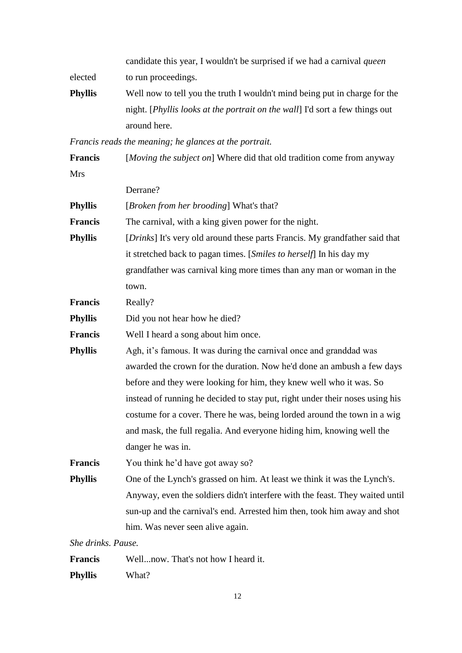|         | candidate this year, I wouldn't be surprised if we had a carnival <i>queen</i>        |
|---------|---------------------------------------------------------------------------------------|
| elected | to run proceedings.                                                                   |
| Phyllis | Well now to tell you the truth I wouldn't mind being put in charge for the            |
|         | night. [ <i>Phyllis looks at the portrait on the wall</i> ] I'd sort a few things out |
|         | around here.                                                                          |

*Francis reads the meaning; he glances at the portrait.*

**Francis** [*Moving the subject on*] Where did that old tradition come from anyway Mrs

|                    | Derrane?                                                                     |
|--------------------|------------------------------------------------------------------------------|
| <b>Phyllis</b>     | [ <i>Broken from her brooding</i> ] What's that?                             |
| <b>Francis</b>     | The carnival, with a king given power for the night.                         |
| <b>Phyllis</b>     | [Drinks] It's very old around these parts Francis. My grandfather said that  |
|                    | it stretched back to pagan times. [Smiles to herself] In his day my          |
|                    | grandfather was carnival king more times than any man or woman in the        |
|                    | town.                                                                        |
| <b>Francis</b>     | Really?                                                                      |
| <b>Phyllis</b>     | Did you not hear how he died?                                                |
| <b>Francis</b>     | Well I heard a song about him once.                                          |
| <b>Phyllis</b>     | Agh, it's famous. It was during the carnival once and granddad was           |
|                    | awarded the crown for the duration. Now he'd done an ambush a few days       |
|                    | before and they were looking for him, they knew well who it was. So          |
|                    | instead of running he decided to stay put, right under their noses using his |
|                    | costume for a cover. There he was, being lorded around the town in a wig     |
|                    | and mask, the full regalia. And everyone hiding him, knowing well the        |
|                    | danger he was in.                                                            |
| <b>Francis</b>     | You think he'd have got away so?                                             |
| <b>Phyllis</b>     | One of the Lynch's grassed on him. At least we think it was the Lynch's.     |
|                    | Anyway, even the soldiers didn't interfere with the feast. They waited until |
|                    | sun-up and the carnival's end. Arrested him then, took him away and shot     |
|                    | him. Was never seen alive again.                                             |
| She drinks. Pause. |                                                                              |
|                    |                                                                              |

**Francis** Well...now. That's not how I heard it.

**Phyllis** What?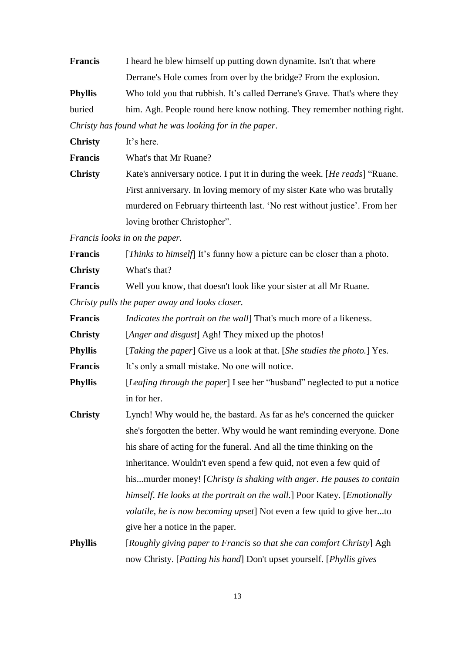| <b>Francis</b> | I heard he blew himself up putting down dynamite. Isn't that where        |
|----------------|---------------------------------------------------------------------------|
|                | Derrane's Hole comes from over by the bridge? From the explosion.         |
| <b>Phyllis</b> | Who told you that rubbish. It's called Derrane's Grave. That's where they |
| buried         | him. Agh. People round here know nothing. They remember nothing right.    |
|                | Christy has found what he was looking for in the paper.                   |

**Christy** It's here. **Francis** What's that Mr Ruane? **Christy** Kate's anniversary notice. I put it in during the week. [*He reads*] "Ruane. First anniversary. In loving memory of my sister Kate who was brutally murdered on February thirteenth last. 'No rest without justice'. From her loving brother Christopher".

*Francis looks in on the paper.*

| <b>Francis</b>                                 | [ <i>Thinks to himself</i> ] It's funny how a picture can be closer than a photo. |
|------------------------------------------------|-----------------------------------------------------------------------------------|
| <b>Christy</b>                                 | What's that?                                                                      |
| <b>Francis</b>                                 | Well you know, that doesn't look like your sister at all Mr Ruane.                |
| Christy pulls the paper away and looks closer. |                                                                                   |

| Francis        | <i>Indicates the portrait on the wall</i> That's much more of a likeness.                  |
|----------------|--------------------------------------------------------------------------------------------|
| <b>Christy</b> | [Anger and disgust] Agh! They mixed up the photos!                                         |
| <b>Phyllis</b> | [ <i>Taking the paper</i> ] Give us a look at that. [ <i>She studies the photo.</i> ] Yes. |
| <b>Francis</b> | It's only a small mistake. No one will notice.                                             |
| <b>Phyllis</b> | [Leafing through the paper] I see her "husband" neglected to put a notice                  |
|                | in for her.                                                                                |
| <b>Christy</b> | Lynch! Why would he, the bastard. As far as he's concerned the quicker                     |
|                | she's forgotten the better. Why would he want reminding everyone. Done                     |
|                | his share of acting for the funeral. And all the time thinking on the                      |
|                | inheritance. Wouldn't even spend a few quid, not even a few quid of                        |
|                | hismurder money! [Christy is shaking with anger. He pauses to contain                      |
|                | himself. He looks at the portrait on the wall.] Poor Katey. [Emotionally                   |
|                | volatile, he is now becoming upset] Not even a few quid to give herto                      |
|                | give her a notice in the paper.                                                            |
| Phvllis        | [Roughly giving paper to Francis so that she can comfort Christy] $Agh$                    |

**Phyllis** [*Roughly giving paper to Francis so that she can comfort Christy*] Agh now Christy. [*Patting his hand*] Don't upset yourself. [*Phyllis gives*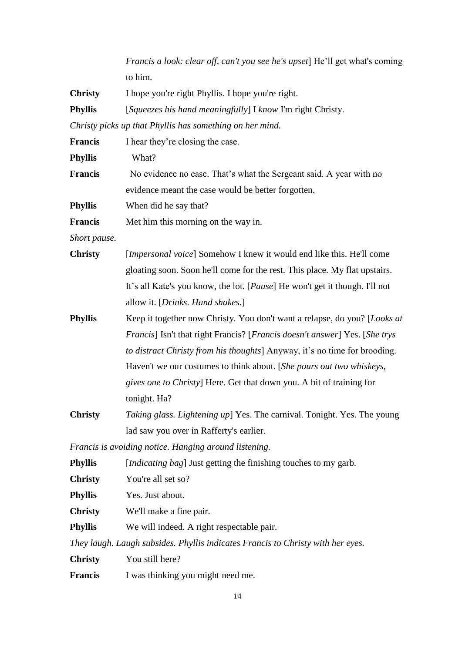*Francis a look: clear off, can't you see he's upset*] He'll get what's coming to him.

**Christy** I hope you're right Phyllis. I hope you're right.

**Phyllis** [*Squeezes his hand meaningfully*] I *know* I'm right Christy.

*Christy picks up that Phyllis has something on her mind.*

| <b>Francis</b> | I hear they're closing the case.                                                                    |
|----------------|-----------------------------------------------------------------------------------------------------|
| <b>Phyllis</b> | What?                                                                                               |
| <b>Francis</b> | No evidence no case. That's what the Sergeant said. A year with no                                  |
|                | evidence meant the case would be better forgotten.                                                  |
| <b>Phyllis</b> | When did he say that?                                                                               |
| <b>Francis</b> | Met him this morning on the way in.                                                                 |
| Short pause.   |                                                                                                     |
| <b>Christy</b> | [Impersonal voice] Somehow I knew it would end like this. He'll come                                |
|                | gloating soon. Soon he'll come for the rest. This place. My flat upstairs.                          |
|                | It's all Kate's you know, the lot. [ <i>Pause</i> ] He won't get it though. I'll not                |
|                | allow it. [Drinks. Hand shakes.]                                                                    |
| <b>Phyllis</b> | Keep it together now Christy. You don't want a relapse, do you? [Looks at                           |
|                | <i>Francis</i> ] Isn't that right Francis? [ <i>Francis doesn't answer</i> ] Yes. [ <i>She trys</i> |
|                | to distract Christy from his thoughts] Anyway, it's no time for brooding.                           |
|                | Haven't we our costumes to think about. [She pours out two whiskeys,                                |
|                | <i>gives one to Christy</i> ] Here. Get that down you. A bit of training for                        |
|                | tonight. Ha?                                                                                        |
| <b>Christy</b> | Taking glass. Lightening up] Yes. The carnival. Tonight. Yes. The young                             |
|                | lad saw you over in Rafferty's earlier.                                                             |
|                | Francis is avoiding notice. Hanging around listening.                                               |
| <b>Phyllis</b> | [ <i>Indicating bag</i> ] Just getting the finishing touches to my garb.                            |
| <b>Christy</b> | You're all set so?                                                                                  |
| <b>Phyllis</b> | Yes. Just about.                                                                                    |
| <b>Christy</b> | We'll make a fine pair.                                                                             |
| <b>Phyllis</b> | We will indeed. A right respectable pair.                                                           |
|                | They laugh. Laugh subsides. Phyllis indicates Francis to Christy with her eyes.                     |
| <b>Christy</b> | You still here?                                                                                     |
| Francis        | I was thinking you might need me.                                                                   |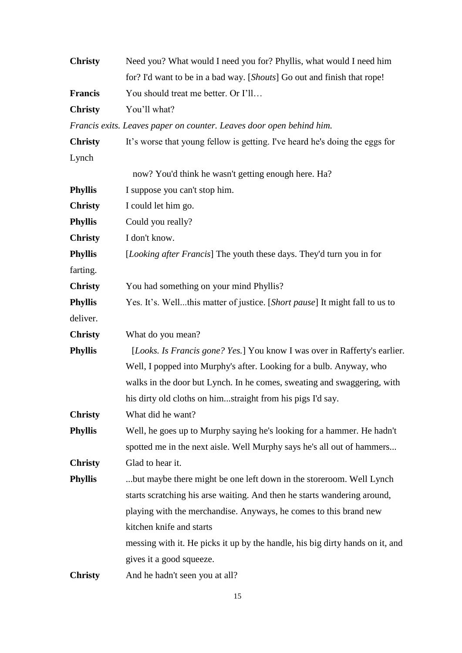| <b>Christy</b> | Need you? What would I need you for? Phyllis, what would I need him           |
|----------------|-------------------------------------------------------------------------------|
|                | for? I'd want to be in a bad way. [Shouts] Go out and finish that rope!       |
| Francis        | You should treat me better. Or I'll                                           |
| <b>Christy</b> | You'll what?                                                                  |
|                | Francis exits. Leaves paper on counter. Leaves door open behind him.          |
| <b>Christy</b> | It's worse that young fellow is getting. I've heard he's doing the eggs for   |
| Lynch          |                                                                               |
|                | now? You'd think he wasn't getting enough here. Ha?                           |
| <b>Phyllis</b> | I suppose you can't stop him.                                                 |
| <b>Christy</b> | I could let him go.                                                           |
| <b>Phyllis</b> | Could you really?                                                             |
| <b>Christy</b> | I don't know.                                                                 |
| <b>Phyllis</b> | [Looking after Francis] The youth these days. They'd turn you in for          |
| farting.       |                                                                               |
| <b>Christy</b> | You had something on your mind Phyllis?                                       |
| <b>Phyllis</b> | Yes. It's. Wellthis matter of justice. [Short pause] It might fall to us to   |
| deliver.       |                                                                               |
| <b>Christy</b> | What do you mean?                                                             |
| <b>Phyllis</b> | [Looks. Is Francis gone? Yes.] You know I was over in Rafferty's earlier.     |
|                | Well, I popped into Murphy's after. Looking for a bulb. Anyway, who           |
|                | walks in the door but Lynch. In he comes, sweating and swaggering, with       |
|                | his dirty old cloths on himstraight from his pigs I'd say.                    |
| <b>Christy</b> | What did he want?                                                             |
| <b>Phyllis</b> | Well, he goes up to Murphy saying he's looking for a hammer. He hadn't        |
|                | spotted me in the next aisle. Well Murphy says he's all out of hammers        |
| <b>Christy</b> | Glad to hear it.                                                              |
| <b>Phyllis</b> | but maybe there might be one left down in the storeroom. Well Lynch           |
|                | starts scratching his arse waiting. And then he starts wandering around,      |
|                | playing with the merchandise. Anyways, he comes to this brand new             |
|                | kitchen knife and starts                                                      |
|                | messing with it. He picks it up by the handle, his big dirty hands on it, and |
|                | gives it a good squeeze.                                                      |
| <b>Christy</b> | And he hadn't seen you at all?                                                |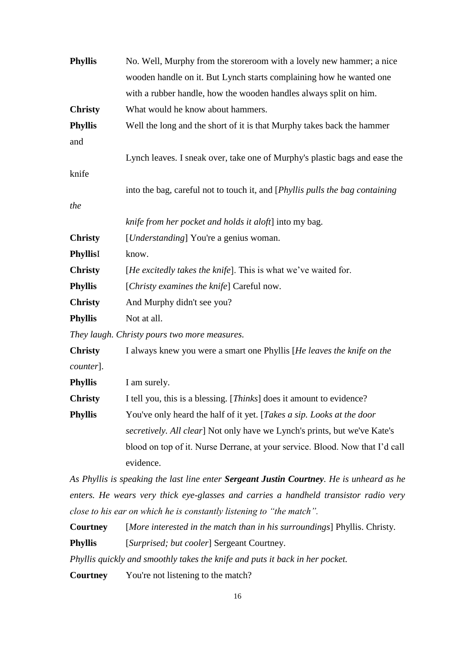| <b>Phyllis</b>  | No. Well, Murphy from the storeroom with a lovely new hammer; a nice                     |
|-----------------|------------------------------------------------------------------------------------------|
|                 | wooden handle on it. But Lynch starts complaining how he wanted one                      |
|                 | with a rubber handle, how the wooden handles always split on him.                        |
| <b>Christy</b>  | What would he know about hammers.                                                        |
| <b>Phyllis</b>  | Well the long and the short of it is that Murphy takes back the hammer                   |
| and             |                                                                                          |
|                 | Lynch leaves. I sneak over, take one of Murphy's plastic bags and ease the               |
| knife           |                                                                                          |
|                 | into the bag, careful not to touch it, and [ <i>Phyllis pulls the bag containing</i>     |
| the             |                                                                                          |
|                 | knife from her pocket and holds it aloft] into my bag.                                   |
| <b>Christy</b>  | [ <i>Understanding</i> ] You're a genius woman.                                          |
| <b>PhyllisI</b> | know.                                                                                    |
| <b>Christy</b>  | [He excitedly takes the knife]. This is what we've waited for.                           |
| <b>Phyllis</b>  | [Christy examines the knife] Careful now.                                                |
| <b>Christy</b>  | And Murphy didn't see you?                                                               |
| <b>Phyllis</b>  | Not at all.                                                                              |
|                 | They laugh. Christy pours two more measures.                                             |
| <b>Christy</b>  | I always knew you were a smart one Phyllis [He leaves the knife on the                   |
| counter].       |                                                                                          |
| <b>Phyllis</b>  | I am surely.                                                                             |
| <b>Christy</b>  | I tell you, this is a blessing. [Thinks] does it amount to evidence?                     |
| <b>Phyllis</b>  | You've only heard the half of it yet. [Takes a sip. Looks at the door                    |
|                 | secretively. All clear] Not only have we Lynch's prints, but we've Kate's                |
|                 | blood on top of it. Nurse Derrane, at your service. Blood. Now that I'd call             |
|                 | evidence.                                                                                |
|                 | As Phyllis is speaking the last line enter Sergeant Justin Courtney. He is unheard as he |
|                 |                                                                                          |

*enters. He wears very thick eye-glasses and carries a handheld transistor radio very close to his ear on which he is constantly listening to "the match".* 

**Courtney** [*More interested in the match than in his surroundings*] Phyllis. Christy. **Phyllis** [*Surprised; but cooler*] Sergeant Courtney.

*Phyllis quickly and smoothly takes the knife and puts it back in her pocket.*

**Courtney** You're not listening to the match?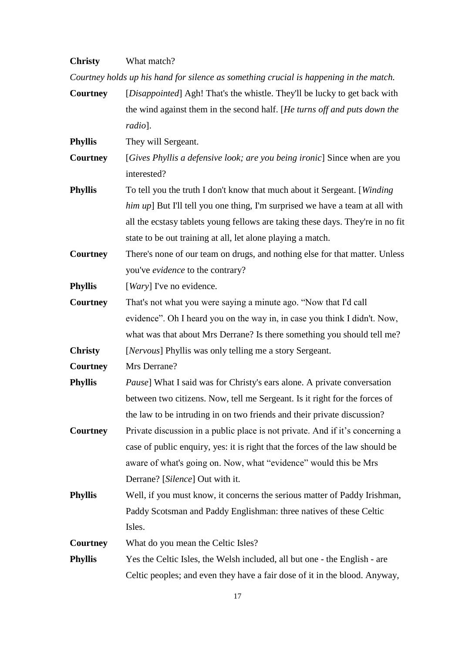# **Christy** What match?

*Courtney holds up his hand for silence as something crucial is happening in the match.*

| Courtney        | [Disappointed] Agh! That's the whistle. They'll be lucky to get back with       |
|-----------------|---------------------------------------------------------------------------------|
|                 | the wind against them in the second half. [He turns off and puts down the       |
|                 | radio].                                                                         |
| Phyllis         | They will Sergeant.                                                             |
| Courtney        | [Gives Phyllis a defensive look; are you being ironic] Since when are you       |
|                 | interested?                                                                     |
| Phyllis         | To tell you the truth I don't know that much about it Sergeant. [Winding]       |
|                 | him up] But I'll tell you one thing, I'm surprised we have a team at all with   |
|                 | all the ecstasy tablets young fellows are taking these days. They're in no fit  |
|                 | state to be out training at all, let alone playing a match.                     |
| <b>Courtney</b> | There's none of our team on drugs, and nothing else for that matter. Unless     |
|                 | you've evidence to the contrary?                                                |
| Phyllis         | [ <i>Wary</i> ] I've no evidence.                                               |
| Courtney        | That's not what you were saying a minute ago. "Now that I'd call                |
|                 | evidence". Oh I heard you on the way in, in case you think I didn't. Now,       |
|                 | what was that about Mrs Derrane? Is there something you should tell me?         |
| <b>Christy</b>  | [Nervous] Phyllis was only telling me a story Sergeant.                         |
| Courtney        | Mrs Derrane?                                                                    |
| <b>Phyllis</b>  | <i>Pause</i> ] What I said was for Christy's ears alone. A private conversation |
|                 | between two citizens. Now, tell me Sergeant. Is it right for the forces of      |
|                 | the law to be intruding in on two friends and their private discussion?         |
| Courtney        | Private discussion in a public place is not private. And if it's concerning a   |
|                 | case of public enquiry, yes: it is right that the forces of the law should be   |
|                 | aware of what's going on. Now, what "evidence" would this be Mrs                |
|                 | Derrane? [Silence] Out with it.                                                 |
| <b>Phyllis</b>  | Well, if you must know, it concerns the serious matter of Paddy Irishman,       |
|                 | Paddy Scotsman and Paddy Englishman: three natives of these Celtic              |
|                 | Isles.                                                                          |
| <b>Courtney</b> | What do you mean the Celtic Isles?                                              |
| Phyllis         | Yes the Celtic Isles, the Welsh included, all but one - the English - are       |
|                 | Celtic peoples; and even they have a fair dose of it in the blood. Anyway,      |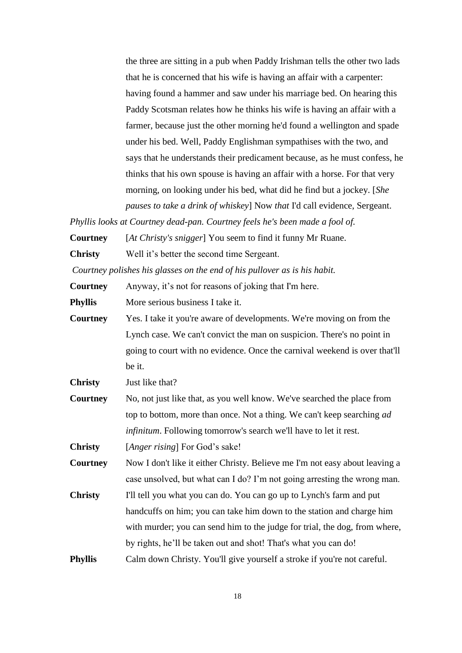the three are sitting in a pub when Paddy Irishman tells the other two lads that he is concerned that his wife is having an affair with a carpenter: having found a hammer and saw under his marriage bed. On hearing this Paddy Scotsman relates how he thinks his wife is having an affair with a farmer, because just the other morning he'd found a wellington and spade under his bed. Well, Paddy Englishman sympathises with the two, and says that he understands their predicament because, as he must confess, he thinks that his own spouse is having an affair with a horse. For that very morning, on looking under his bed, what did he find but a jockey. [*She pauses to take a drink of whiskey*] Now *that* I'd call evidence, Sergeant.

*Phyllis looks at Courtney dead-pan. Courtney feels he's been made a fool of.*

**Courtney** [*At Christy's snigger*] You seem to find it funny Mr Ruane.

**Christy** Well it's better the second time Sergeant.

*Courtney polishes his glasses on the end of his pullover as is his habit.*

**Courtney** Anyway, it's not for reasons of joking that I'm here.

**Phyllis** More serious business I take it.

**Courtney** Yes. I take it you're aware of developments. We're moving on from the Lynch case. We can't convict the man on suspicion. There's no point in going to court with no evidence. Once the carnival weekend is over that'll be it.

**Christy** Just like that?

**Courtney** No, not just like that, as you well know. We've searched the place from top to bottom, more than once. Not a thing. We can't keep searching *ad infinitum*. Following tomorrow's search we'll have to let it rest.

**Christy** [*Anger rising*] For God's sake!

**Courtney** Now I don't like it either Christy. Believe me I'm not easy about leaving a case unsolved, but what can I do? I'm not going arresting the wrong man.

- **Christy** I'll tell you what you can do. You can go up to Lynch's farm and put handcuffs on him; you can take him down to the station and charge him with murder; you can send him to the judge for trial, the dog, from where, by rights, he'll be taken out and shot! That's what you can do!
- **Phyllis** Calm down Christy. You'll give yourself a stroke if you're not careful.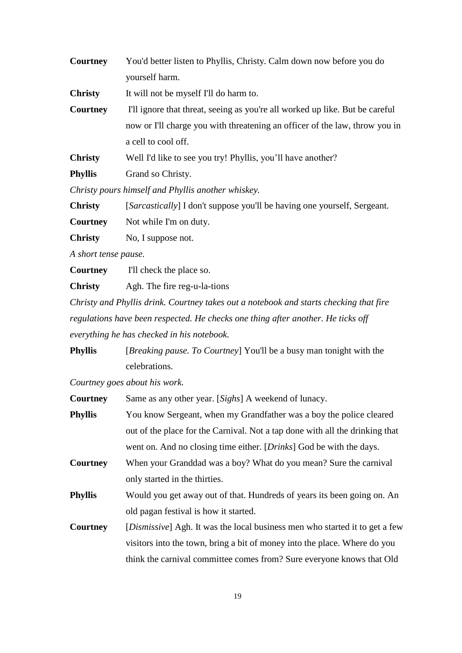| <b>Courtney</b> | You'd better listen to Phyllis, Christy. Calm down now before you do         |
|-----------------|------------------------------------------------------------------------------|
|                 | yourself harm.                                                               |
| <b>Christy</b>  | It will not be myself I'll do harm to.                                       |
| Courtney        | I'll ignore that threat, seeing as you're all worked up like. But be careful |
|                 | now or I'll charge you with threatening an officer of the law, throw you in  |
|                 | a cell to cool off.                                                          |
| <b>Christy</b>  | Well I'd like to see you try! Phyllis, you'll have another?                  |
| <b>Phyllis</b>  | Grand so Christy.                                                            |

*Christy pours himself and Phyllis another whiskey.*

**Christy** [*Sarcastically*] I don't suppose you'll be having one yourself, Sergeant.

**Courtney** Not while I'm on duty.

**Christy** No, I suppose not.

*A short tense pause.* 

**Courtney** I'll check the place so.

**Christy** Agh. The fire reg-u-la-tions

*Christy and Phyllis drink. Courtney takes out a notebook and starts checking that fire regulations have been respected. He checks one thing after another. He ticks off everything he has checked in his notebook.*

**Phyllis** [*Breaking pause. To Courtney*] You'll be a busy man tonight with the celebrations.

*Courtney goes about his work.*

| Courtney       | Same as any other year. [Sighs] A weekend of lunacy.                                 |
|----------------|--------------------------------------------------------------------------------------|
| <b>Phyllis</b> | You know Sergeant, when my Grandfather was a boy the police cleared                  |
|                | out of the place for the Carnival. Not a tap done with all the drinking that         |
|                | went on. And no closing time either. [ <i>Drinks</i> ] God be with the days.         |
| Courtney       | When your Granddad was a boy? What do you mean? Sure the carnival                    |
|                | only started in the thirties.                                                        |
| Phyllis        | Would you get away out of that. Hundreds of years its been going on. An              |
|                | old pagan festival is how it started.                                                |
| Courtney       | [ <i>Dismissive</i> ] Agh. It was the local business men who started it to get a few |
|                | visitors into the town, bring a bit of money into the place. Where do you            |
|                | think the carnival committee comes from? Sure everyone knows that Old                |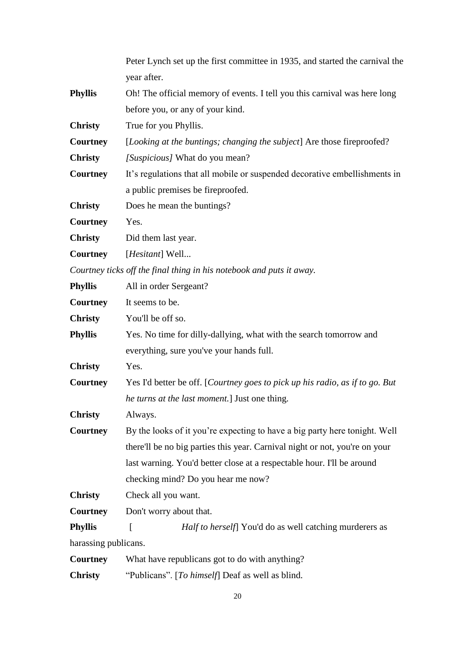|                 | Peter Lynch set up the first committee in 1935, and started the carnival the |
|-----------------|------------------------------------------------------------------------------|
|                 | year after.                                                                  |
| <b>Phyllis</b>  | Oh! The official memory of events. I tell you this carnival was here long    |
|                 | before you, or any of your kind.                                             |
| <b>Christy</b>  | True for you Phyllis.                                                        |
| <b>Courtney</b> | [Looking at the buntings; changing the subject] Are those fireproofed?       |
| <b>Christy</b>  | [Suspicious] What do you mean?                                               |
| <b>Courtney</b> | It's regulations that all mobile or suspended decorative embellishments in   |
|                 | a public premises be fireproofed.                                            |
| <b>Christy</b>  | Does he mean the buntings?                                                   |
| <b>Courtney</b> | Yes.                                                                         |
| <b>Christy</b>  | Did them last year.                                                          |
| <b>Courtney</b> | [ <i>Hesitant</i> ] Well                                                     |
|                 | Courtney ticks off the final thing in his notebook and puts it away.         |
| Phyllis         | All in order Sergeant?                                                       |
| <b>Courtney</b> | It seems to be.                                                              |
| <b>Christy</b>  | You'll be off so.                                                            |

| Phyllis | Yes. No time for dilly-dallying, what with the search tomorrow and |
|---------|--------------------------------------------------------------------|
|         | everything, sure you've your hands full.                           |

**Christy** Yes.

**Courtney** Yes I'd better be off. [*Courtney goes to pick up his radio, as if to go. But he turns at the last moment.*] Just one thing.

**Christy** Always.

**Courtney** By the looks of it you're expecting to have a big party here tonight. Well there'll be no big parties this year. Carnival night or not, you're on your last warning. You'd better close at a respectable hour. I'll be around checking mind? Do you hear me now?

**Christy** Check all you want.

**Courtney** Don't worry about that.

**Phyllis** [ *Half to herself*] You'd do as well catching murderers as harassing publicans.

| <b>Courtney</b> | What have republicans got to do with anything?   |
|-----------------|--------------------------------------------------|
| <b>Christy</b>  | "Publicans". [To himself] Deaf as well as blind. |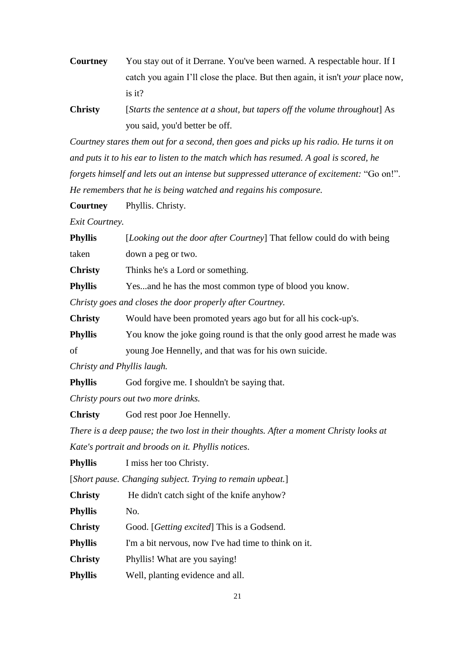- **Courtney** You stay out of it Derrane. You've been warned. A respectable hour. If I catch you again I'll close the place. But then again, it isn't *your* place now, is it?
- **Christy** [*Starts the sentence at a shout, but tapers off the volume throughout*] As you said, you'd better be off.

*Courtney stares them out for a second, then goes and picks up his radio. He turns it on and puts it to his ear to listen to the match which has resumed. A goal is scored, he forgets himself and lets out an intense but suppressed utterance of excitement:* "Go on!". *He remembers that he is being watched and regains his composure.*

**Courtney** Phyllis. Christy.

*Exit Courtney.*

**Phyllis** [*Looking out the door after Courtney*] That fellow could do with being taken down a peg or two.

**Christy** Thinks he's a Lord or something.

**Phyllis** Yes...and he has the most common type of blood you know.

*Christy goes and closes the door properly after Courtney.* 

**Christy** Would have been promoted years ago but for all his cock-up's.

**Phyllis** You know the joke going round is that the only good arrest he made was

of young Joe Hennelly, and that was for his own suicide.

*Christy and Phyllis laugh.*

**Phyllis** God forgive me. I shouldn't be saying that.

*Christy pours out two more drinks.*

**Christy** God rest poor Joe Hennelly.

*There is a deep pause; the two lost in their thoughts. After a moment Christy looks at* 

*Kate's portrait and broods on it. Phyllis notices*.

**Phyllis** I miss her too Christy.

[*Short pause. Changing subject. Trying to remain upbeat.*]

**Christy** He didn't catch sight of the knife anyhow?

Phyllis No.

**Christy** Good. [*Getting excited*] This is a Godsend.

**Phyllis** I'm a bit nervous, now I've had time to think on it.

**Christy** Phyllis! What are you saying!

**Phyllis** Well, planting evidence and all.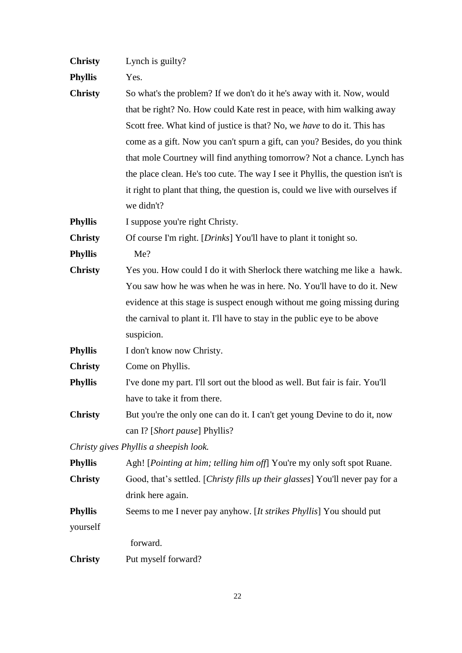| <b>Christy</b> | Lynch is guilty? |  |
|----------------|------------------|--|
|                |                  |  |

**Phyllis** Yes.

**Christy** So what's the problem? If we don't do it he's away with it. Now, would that be right? No. How could Kate rest in peace, with him walking away Scott free. What kind of justice is that? No, we *have* to do it. This has come as a gift. Now you can't spurn a gift, can you? Besides, do you think that mole Courtney will find anything tomorrow? Not a chance. Lynch has the place clean. He's too cute. The way I see it Phyllis, the question isn't is it right to plant that thing, the question is, could we live with ourselves if we didn't?

**Phyllis** I suppose you're right Christy.

**Christy** Of course I'm right. [*Drinks*] You'll have to plant it tonight so.

**Phyllis** Me?

**Christy** Yes you. How could I do it with Sherlock there watching me like a hawk. You saw how he was when he was in here. No. You'll have to do it. New evidence at this stage is suspect enough without me going missing during the carnival to plant it. I'll have to stay in the public eye to be above suspicion.

**Phyllis** I don't know now Christy.

**Christy** Come on Phyllis.

- **Phyllis** I've done my part. I'll sort out the blood as well. But fair is fair. You'll have to take it from there.
- **Christy** But you're the only one can do it. I can't get young Devine to do it, now can I? [*Short pause*] Phyllis?

*Christy gives Phyllis a sheepish look.*

| <b>Phyllis</b> | Agh! [ <i>Pointing at him; telling him off</i> ] You're my only soft spot Ruane. |
|----------------|----------------------------------------------------------------------------------|
| <b>Christy</b> | Good, that's settled. [Christy fills up their glasses] You'll never pay for a    |
|                | drink here again.                                                                |
| <b>Phyllis</b> | Seems to me I never pay anyhow. [It strikes Phyllis] You should put              |
| yourself       |                                                                                  |
|                | forward.                                                                         |
| <b>Christy</b> | Put myself forward?                                                              |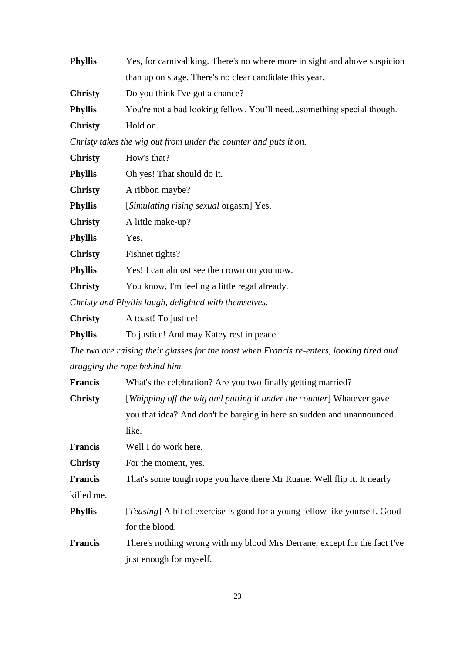| <b>Phyllis</b> | Yes, for carnival king. There's no where more in sight and above suspicion |
|----------------|----------------------------------------------------------------------------|
|                | than up on stage. There's no clear candidate this year.                    |
| <b>Christy</b> | Do you think I've got a chance?                                            |
| <b>Phyllis</b> | You're not a bad looking fellow. You'll needsomething special though.      |
| <b>Christy</b> | Hold on.                                                                   |
|                |                                                                            |

*Christy takes the wig out from under the counter and puts it on.*

| <b>Christy</b> | How's that?                                     |
|----------------|-------------------------------------------------|
| Phyllis        | Oh yes! That should do it.                      |
| <b>Christy</b> | A ribbon maybe?                                 |
| <b>Phyllis</b> | [ <i>Simulating rising sexual orgasm</i> ] Yes. |
| <b>Christy</b> | A little make-up?                               |
| <b>Phyllis</b> | Yes.                                            |
| <b>Christy</b> | Fishnet tights?                                 |
| <b>Phyllis</b> | Yes! I can almost see the crown on you now.     |
| <b>Christy</b> | You know, I'm feeling a little regal already.   |
|                |                                                 |

*Christy and Phyllis laugh, delighted with themselves.*

**Phyllis** To justice! And may Katey rest in peace.

*The two are raising their glasses for the toast when Francis re-enters, looking tired and dragging the rope behind him.*

| <b>Francis</b> | What's the celebration? Are you two finally getting married? |  |  |  |
|----------------|--------------------------------------------------------------|--|--|--|
|----------------|--------------------------------------------------------------|--|--|--|

| Christy | [Whipping off the wig and putting it under the counter] Whatever gave |
|---------|-----------------------------------------------------------------------|
|         | you that idea? And don't be barging in here so sudden and unannounced |
|         | like.                                                                 |

**Francis** Well I do work here.

**Christy** For the moment, yes.

**Francis** That's some tough rope you have there Mr Ruane. Well flip it. It nearly

killed me.

**Phyllis** [*Teasing*] A bit of exercise is good for a young fellow like yourself. Good for the blood.

**Francis** There's nothing wrong with my blood Mrs Derrane, except for the fact I've just enough for myself.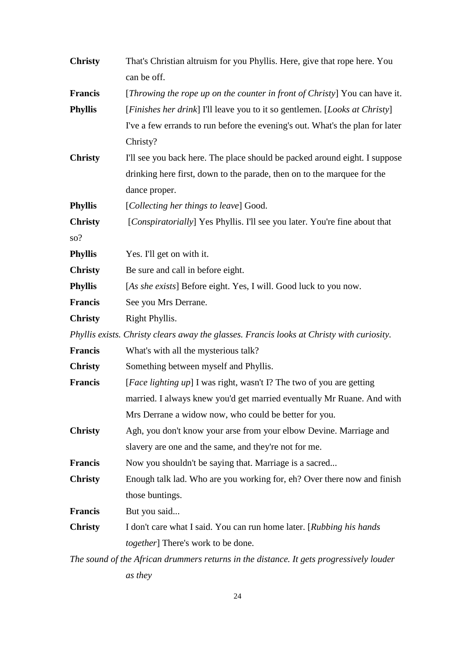| <b>Christy</b> | That's Christian altruism for you Phyllis. Here, give that rope here. You<br>can be off.  |  |
|----------------|-------------------------------------------------------------------------------------------|--|
| <b>Francis</b> | [Throwing the rope up on the counter in front of Christy] You can have it.                |  |
| <b>Phyllis</b> | [Finishes her drink] I'll leave you to it so gentlemen. [Looks at Christy]                |  |
|                | I've a few errands to run before the evening's out. What's the plan for later             |  |
|                | Christy?                                                                                  |  |
| <b>Christy</b> | I'll see you back here. The place should be packed around eight. I suppose                |  |
|                | drinking here first, down to the parade, then on to the marquee for the                   |  |
|                | dance proper.                                                                             |  |
| <b>Phyllis</b> | [Collecting her things to leave] Good.                                                    |  |
| <b>Christy</b> | [Conspiratorially] Yes Phyllis. I'll see you later. You're fine about that                |  |
| so?            |                                                                                           |  |
| <b>Phyllis</b> | Yes. I'll get on with it.                                                                 |  |
| <b>Christy</b> | Be sure and call in before eight.                                                         |  |
| <b>Phyllis</b> | [As she exists] Before eight. Yes, I will. Good luck to you now.                          |  |
| <b>Francis</b> | See you Mrs Derrane.                                                                      |  |
| <b>Christy</b> | Right Phyllis.                                                                            |  |
|                | Phyllis exists. Christy clears away the glasses. Francis looks at Christy with curiosity. |  |
| <b>Francis</b> | What's with all the mysterious talk?                                                      |  |
| <b>Christy</b> | Something between myself and Phyllis.                                                     |  |
| <b>Francis</b> | [ <i>Face lighting up</i> ] I was right, wasn't I? The two of you are getting             |  |
|                | married. I always knew you'd get married eventually Mr Ruane. And with                    |  |
|                | Mrs Derrane a widow now, who could be better for you.                                     |  |
| <b>Christy</b> | Agh, you don't know your arse from your elbow Devine. Marriage and                        |  |
|                | slavery are one and the same, and they're not for me.                                     |  |
| <b>Francis</b> | Now you shouldn't be saying that. Marriage is a sacred                                    |  |
| <b>Christy</b> | Enough talk lad. Who are you working for, eh? Over there now and finish                   |  |
|                | those buntings.                                                                           |  |
| <b>Francis</b> | But you said                                                                              |  |
| <b>Christy</b> | I don't care what I said. You can run home later. [Rubbing his hands]                     |  |
|                | <i>together</i> ] There's work to be done.                                                |  |
|                | The sound of the African drummers returns in the distance. It gets progressively louder   |  |

*as they*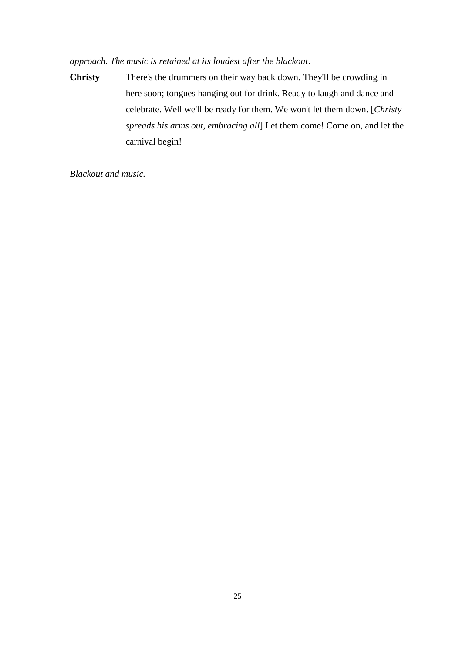# *approach. The music is retained at its loudest after the blackout*.

**Christy** There's the drummers on their way back down. They'll be crowding in here soon; tongues hanging out for drink. Ready to laugh and dance and celebrate. Well we'll be ready for them. We won't let them down. [*Christy spreads his arms out, embracing all*] Let them come! Come on, and let the carnival begin!

*Blackout and music.*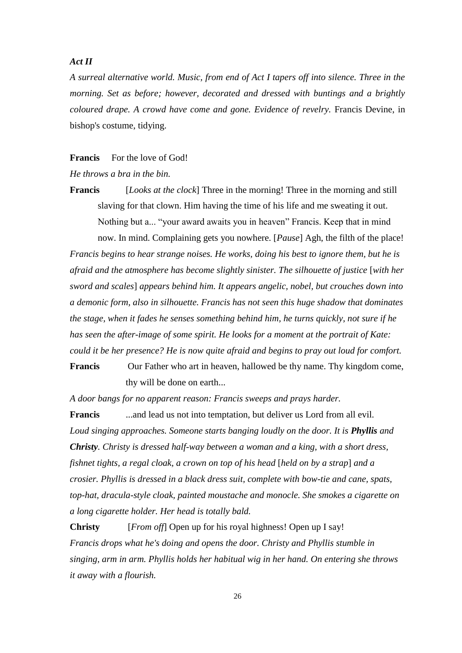## *Act II*

*A surreal alternative world. Music, from end of Act I tapers off into silence. Three in the morning. Set as before; however, decorated and dressed with buntings and a brightly coloured drape. A crowd have come and gone. Evidence of revelry.* Francis Devine, in bishop's costume, tidying.

## **Francis** For the love of God!

#### *He throws a bra in the bin.*

**Francis** [*Looks at the clock*] Three in the morning! Three in the morning and still slaving for that clown. Him having the time of his life and me sweating it out. Nothing but a... "your award awaits you in heaven" Francis. Keep that in mind now. In mind. Complaining gets you nowhere. [*Pause*] Agh, the filth of the place!

*Francis begins to hear strange noises. He works, doing his best to ignore them, but he is afraid and the atmosphere has become slightly sinister. The silhouette of justice* [*with her sword and scales*] *appears behind him. It appears angelic, nobel, but crouches down into a demonic form, also in silhouette. Francis has not seen this huge shadow that dominates the stage, when it fades he senses something behind him, he turns quickly, not sure if he has seen the after-image of some spirit. He looks for a moment at the portrait of Kate: could it be her presence? He is now quite afraid and begins to pray out loud for comfort.* **Francis** Our Father who art in heaven, hallowed be thy name. Thy kingdom come,

thy will be done on earth...

*A door bangs for no apparent reason: Francis sweeps and prays harder.*

**Francis** ...and lead us not into temptation, but deliver us Lord from all evil. Loud singing approaches. Someone starts banging loudly on the door. It is **Phyllis** and *Christy. Christy is dressed half-way between a woman and a king, with a short dress, fishnet tights, a regal cloak, a crown on top of his head [held on by a strap] and a crosier. Phyllis is dressed in a black dress suit, complete with bow-tie and cane, spats, top-hat, dracula-style cloak, painted moustache and monocle. She smokes a cigarette on a long cigarette holder. Her head is totally bald.*

**Christy** [*From off*] Open up for his royal highness! Open up I say! *Francis drops what he's doing and opens the door. Christy and Phyllis stumble in singing, arm in arm. Phyllis holds her habitual wig in her hand. On entering she throws it away with a flourish.*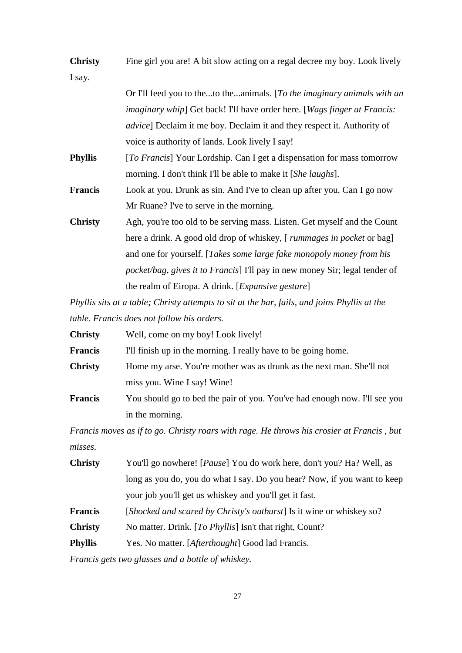| <b>Christy</b> | Fine girl you are! A bit slow acting on a regal decree my boy. Look lively          |
|----------------|-------------------------------------------------------------------------------------|
| I say.         |                                                                                     |
|                | Or I'll feed you to theto theanimals. [To the imaginary animals with an             |
|                | imaginary whip] Get back! I'll have order here. [Wags finger at Francis:            |
|                | <i>advice</i> ] Declaim it me boy. Declaim it and they respect it. Authority of     |
|                | voice is authority of lands. Look lively I say!                                     |
| <b>Phyllis</b> | [To Francis] Your Lordship. Can I get a dispensation for mass tomorrow              |
|                | morning. I don't think I'll be able to make it [She laughs].                        |
| <b>Francis</b> | Look at you. Drunk as sin. And I've to clean up after you. Can I go now             |
|                | Mr Ruane? I've to serve in the morning.                                             |
| <b>Christy</b> | Agh, you're too old to be serving mass. Listen. Get myself and the Count            |
|                | here a drink. A good old drop of whiskey, [ rummages in pocket or bag]              |
|                | and one for yourself. [Takes some large fake monopoly money from his                |
|                | <i>pocket/bag, gives it to Francis</i> ] I'll pay in new money Sir; legal tender of |
|                | the realm of Eiropa. A drink. [Expansive gesture]                                   |

*Phyllis sits at a table; Christy attempts to sit at the bar, fails, and joins Phyllis at the table. Francis does not follow his orders.*

| <b>Christy</b> | Well, come on my boy! Look lively!                                        |  |
|----------------|---------------------------------------------------------------------------|--|
| <b>Francis</b> | I'll finish up in the morning. I really have to be going home.            |  |
| <b>Christy</b> | Home my arse. You're mother was as drunk as the next man. She'll not      |  |
|                | miss you. Wine I say! Wine!                                               |  |
| <b>Francis</b> | You should go to bed the pair of you. You've had enough now. I'll see you |  |
|                | in the morning.                                                           |  |

*Francis moves as if to go. Christy roars with rage. He throws his crosier at Francis , but misses.*

| <b>Christy</b> | You'll go nowhere! [ <i>Pause</i> ] You do work here, don't you? Ha? Well, as |
|----------------|-------------------------------------------------------------------------------|
|                | long as you do, you do what I say. Do you hear? Now, if you want to keep      |
|                | your job you'll get us whiskey and you'll get it fast.                        |
| <b>Francis</b> | [Shocked and scared by Christy's outburst] Is it wine or whiskey so?          |
| <b>Christy</b> | No matter. Drink. [To Phyllis] Isn't that right, Count?                       |
| <b>Phyllis</b> | Yes. No matter. [ <i>Afterthought</i> ] Good lad Francis.                     |
|                |                                                                               |

*Francis gets two glasses and a bottle of whiskey.*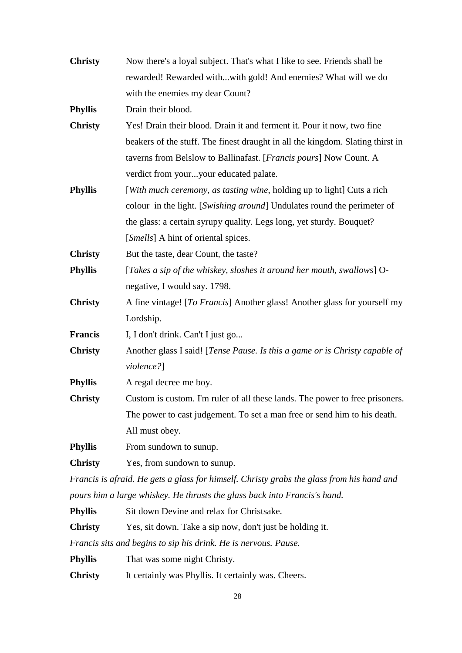| <b>Christy</b> | Now there's a loyal subject. That's what I like to see. Friends shall be                  |  |
|----------------|-------------------------------------------------------------------------------------------|--|
|                | rewarded! Rewarded withwith gold! And enemies? What will we do                            |  |
|                | with the enemies my dear Count?                                                           |  |
| <b>Phyllis</b> | Drain their blood.                                                                        |  |
| <b>Christy</b> | Yes! Drain their blood. Drain it and ferment it. Pour it now, two fine                    |  |
|                | beakers of the stuff. The finest draught in all the kingdom. Slating thirst in            |  |
|                | taverns from Belslow to Ballinafast. [Francis pours] Now Count. A                         |  |
|                | verdict from youryour educated palate.                                                    |  |
| <b>Phyllis</b> | [With much ceremony, as tasting wine, holding up to light] Cuts a rich                    |  |
|                | colour in the light. [Swishing around] Undulates round the perimeter of                   |  |
|                | the glass: a certain syrupy quality. Legs long, yet sturdy. Bouquet?                      |  |
|                | [ <i>Smells</i> ] A hint of oriental spices.                                              |  |
| <b>Christy</b> | But the taste, dear Count, the taste?                                                     |  |
| <b>Phyllis</b> | [Takes a sip of the whiskey, sloshes it around her mouth, swallows] O-                    |  |
|                | negative, I would say. 1798.                                                              |  |
| <b>Christy</b> | A fine vintage! [To Francis] Another glass! Another glass for yourself my                 |  |
|                | Lordship.                                                                                 |  |
| Francis        | I, I don't drink. Can't I just go                                                         |  |
| <b>Christy</b> | Another glass I said! [Tense Pause. Is this a game or is Christy capable of               |  |
|                | violence?]                                                                                |  |
| <b>Phyllis</b> | A regal decree me boy.                                                                    |  |
| <b>Christy</b> | Custom is custom. I'm ruler of all these lands. The power to free prisoners.              |  |
|                | The power to cast judgement. To set a man free or send him to his death.                  |  |
|                | All must obey.                                                                            |  |
| <b>Phyllis</b> | From sundown to sunup.                                                                    |  |
| <b>Christy</b> | Yes, from sundown to sunup.                                                               |  |
|                | Francis is afraid. He gets a glass for himself. Christy grabs the glass from his hand and |  |

*pours him a large whiskey. He thrusts the glass back into Francis's hand.*

**Phyllis** Sit down Devine and relax for Christsake.

**Christy** Yes, sit down. Take a sip now, don't just be holding it.

*Francis sits and begins to sip his drink. He is nervous. Pause.*

**Phyllis** That was some night Christy.

**Christy** It certainly was Phyllis. It certainly was. Cheers.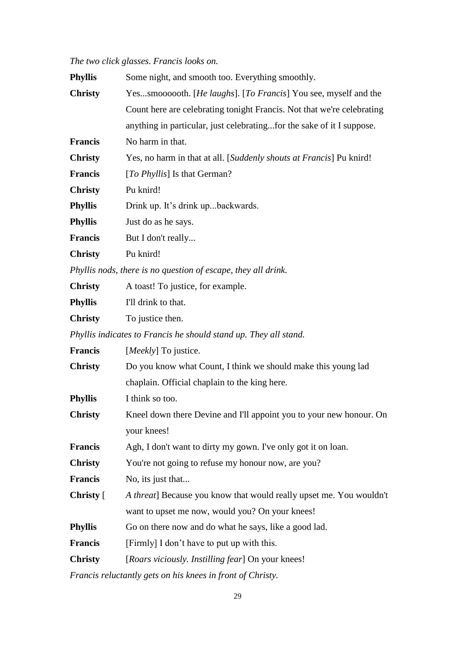# *The two click glasses. Francis looks on.*

| <b>Phyllis</b> | Some night, and smooth too. Everything smoothly.                       |  |
|----------------|------------------------------------------------------------------------|--|
| <b>Christy</b> | Yessmoooooth. [He laughs]. [To Francis] You see, myself and the        |  |
|                | Count here are celebrating tonight Francis. Not that we're celebrating |  |
|                | anything in particular, just celebratingfor the sake of it I suppose.  |  |
| Francis        | No harm in that.                                                       |  |
| <b>Christy</b> | Yes, no harm in that at all. [Suddenly shouts at Francis] Pu knird!    |  |
| Francis        | [To Phyllis] Is that German?                                           |  |
| <b>Christy</b> | Pu knird!                                                              |  |
| <b>Phyllis</b> | Drink up. It's drink upbackwards.                                      |  |
| <b>Phyllis</b> | Just do as he says.                                                    |  |
| Francis        | But I don't really                                                     |  |
| <b>Christy</b> | Pu knird!                                                              |  |
|                | Phyllis nods, there is no question of escape, they all drink.          |  |
| <b>Christy</b> | A toast! To justice, for example.                                      |  |
| Phyllis        | I'll drink to that.                                                    |  |
| <b>Christy</b> | To justice then.                                                       |  |
|                | Phyllis indicates to Francis he should stand up. They all stand.       |  |
| Francis        | [Meekly] To justice.                                                   |  |
| <b>Christy</b> | Do you know what Count, I think we should make this young lad          |  |
|                | chaplain. Official chaplain to the king here.                          |  |
| <b>Phyllis</b> | I think so too.                                                        |  |
| <b>Christy</b> | Kneel down there Devine and I'll appoint you to your new honour. On    |  |
|                | your knees!                                                            |  |
| <b>Francis</b> | Agh, I don't want to dirty my gown. I've only got it on loan.          |  |
| <b>Christy</b> | You're not going to refuse my honour now, are you?                     |  |
| Francis        | No, its just that                                                      |  |
| Christy [      | A threat] Because you know that would really upset me. You wouldn't    |  |
|                | want to upset me now, would you? On your knees!                        |  |
| Phyllis        | Go on there now and do what he says, like a good lad.                  |  |
| <b>Francis</b> | [Firmly] I don't have to put up with this.                             |  |
| <b>Christy</b> | [Roars viciously. Instilling fear] On your knees!                      |  |
|                |                                                                        |  |

*Francis reluctantly gets on his knees in front of Christy.*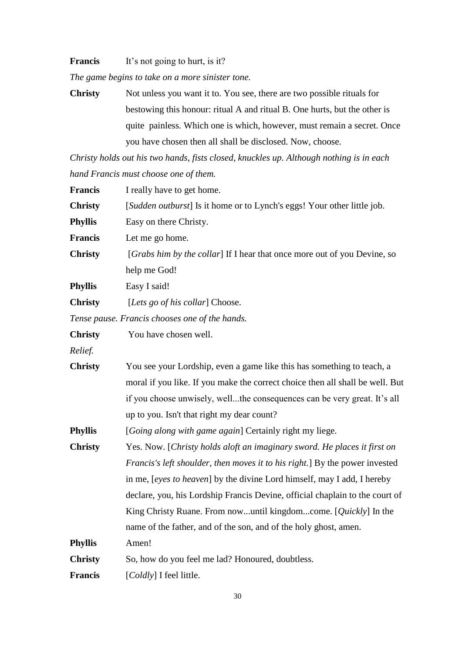**Francis** It's not going to hurt, is it?

*The game begins to take on a more sinister tone.*

**Christy** Not unless you want it to. You see, there are two possible rituals for bestowing this honour: ritual A and ritual B. One hurts, but the other is quite painless. Which one is which, however, must remain a secret. Once you have chosen then all shall be disclosed. Now, choose.

*Christy holds out his two hands, fists closed, knuckles up. Although nothing is in each hand Francis must choose one of them.*

| <b>Francis</b> | I really have to get home.                                                    |  |
|----------------|-------------------------------------------------------------------------------|--|
| <b>Christy</b> | [Sudden outburst] Is it home or to Lynch's eggs! Your other little job.       |  |
| <b>Phyllis</b> | Easy on there Christy.                                                        |  |
| <b>Francis</b> | Let me go home.                                                               |  |
| <b>Christy</b> | [Grabs him by the collar] If I hear that once more out of you Devine, so      |  |
|                | help me God!                                                                  |  |
| <b>Phyllis</b> | Easy I said!                                                                  |  |
| <b>Christy</b> | [Lets go of his collar] Choose.                                               |  |
|                | Tense pause. Francis chooses one of the hands.                                |  |
| <b>Christy</b> | You have chosen well.                                                         |  |
| Relief.        |                                                                               |  |
| <b>Christy</b> | You see your Lordship, even a game like this has something to teach, a        |  |
|                | moral if you like. If you make the correct choice then all shall be well. But |  |
|                | if you choose unwisely, wellthe consequences can be very great. It's all      |  |
|                | up to you. Isn't that right my dear count?                                    |  |
| <b>Phyllis</b> | [Going along with game again] Certainly right my liege.                       |  |
| <b>Christy</b> | Yes. Now. [Christy holds aloft an imaginary sword. He places it first on      |  |
|                | Francis's left shoulder, then moves it to his right.] By the power invested   |  |
|                | in me, [eyes to heaven] by the divine Lord himself, may I add, I hereby       |  |
|                | declare, you, his Lordship Francis Devine, official chaplain to the court of  |  |
|                | King Christy Ruane. From nowuntil kingdomcome. [Quickly] In the               |  |
|                | name of the father, and of the son, and of the holy ghost, amen.              |  |
| <b>Phyllis</b> | Amen!                                                                         |  |
| <b>Christy</b> | So, how do you feel me lad? Honoured, doubtless.                              |  |
| <b>Francis</b> | [Coldly] I feel little.                                                       |  |
|                |                                                                               |  |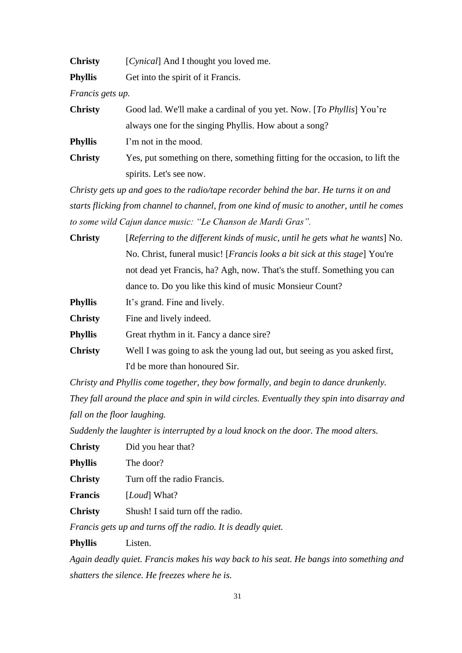| <b>Christy</b> |  | [Cynical] And I thought you loved me. |  |
|----------------|--|---------------------------------------|--|
|----------------|--|---------------------------------------|--|

**Phyllis** Get into the spirit of it Francis.

*Francis gets up.*

| <b>Christy</b> | Good lad. We'll make a cardinal of you yet. Now. [To Phyllis] You're         |
|----------------|------------------------------------------------------------------------------|
|                | always one for the singing Phyllis. How about a song?                        |
| <b>Phyllis</b> | I'm not in the mood.                                                         |
| <b>Christy</b> | Yes, put something on there, something fitting for the occasion, to lift the |
|                | spirits. Let's see now.                                                      |

*Christy gets up and goes to the radio/tape recorder behind the bar. He turns it on and starts flicking from channel to channel, from one kind of music to another, until he comes to some wild Cajun dance music: "Le Chanson de Mardi Gras".*

| <b>Christy</b> | [Referring to the different kinds of music, until he gets what he wants] No.        |  |
|----------------|-------------------------------------------------------------------------------------|--|
|                | No. Christ, funeral music! [ <i>Francis looks a bit sick at this stage</i> ] You're |  |
|                | not dead yet Francis, ha? Agh, now. That's the stuff. Something you can             |  |
|                | dance to. Do you like this kind of music Monsieur Count?                            |  |
| <b>Phyllis</b> | It's grand. Fine and lively.                                                        |  |
| <b>Christy</b> | Fine and lively indeed.                                                             |  |
|                |                                                                                     |  |

**Phyllis** Great rhythm in it. Fancy a dance sire?

**Christy** Well I was going to ask the young lad out, but seeing as you asked first, I'd be more than honoured Sir.

*Christy and Phyllis come together, they bow formally, and begin to dance drunkenly. They fall around the place and spin in wild circles. Eventually they spin into disarray and fall on the floor laughing.* 

*Suddenly the laughter is interrupted by a loud knock on the door. The mood alters.*

| <b>Christy</b> | Did you hear that? |  |
|----------------|--------------------|--|
|----------------|--------------------|--|

**Phyllis** The door?

**Christy** Turn off the radio Francis.

**Francis** [*Loud*] What?

**Christy** Shush! I said turn off the radio.

*Francis gets up and turns off the radio. It is deadly quiet.*

**Phyllis** Listen.

*Again deadly quiet. Francis makes his way back to his seat. He bangs into something and shatters the silence. He freezes where he is.*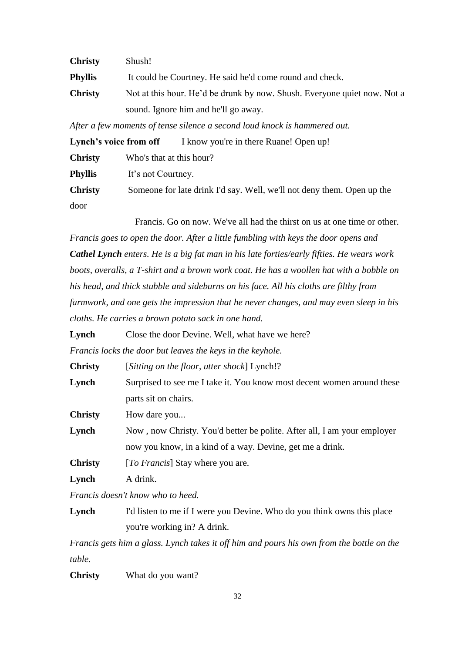| <b>Christy</b> | Shush!                                                                   |
|----------------|--------------------------------------------------------------------------|
| Phyllis        | It could be Courtney. He said he'd come round and check.                 |
| <b>Christy</b> | Not at this hour. He'd be drunk by now. Shush. Everyone quiet now. Not a |
|                | sound. Ignore him and he'll go away.                                     |

*After a few moments of tense silence a second loud knock is hammered out.*

| Lynch's voice from off |                          | I know you're in there Ruane! Open up!                                 |
|------------------------|--------------------------|------------------------------------------------------------------------|
| <b>Christy</b>         | Who's that at this hour? |                                                                        |
| <b>Phyllis</b>         | It's not Courtney.       |                                                                        |
| <b>Christy</b>         |                          | Someone for late drink I'd say. Well, we'll not deny them. Open up the |
| door                   |                          |                                                                        |

Francis. Go on now. We've all had the thirst on us at one time or other.

*Francis goes to open the door. After a little fumbling with keys the door opens and Cathel Lynch enters. He is a big fat man in his late forties/early fifties. He wears work boots, overalls, a T-shirt and a brown work coat. He has a woollen hat with a bobble on his head, and thick stubble and sideburns on his face. All his cloths are filthy from farmwork, and one gets the impression that he never changes, and may even sleep in his cloths. He carries a brown potato sack in one hand.*

Lynch Close the door Devine. Well, what have we here?

*Francis locks the door but leaves the keys in the keyhole.*

| <b>Christy</b> | [Sitting on the floor, utter shock] Lynch!?                             |
|----------------|-------------------------------------------------------------------------|
| Lynch          | Surprised to see me I take it. You know most decent women around these  |
|                | parts sit on chairs.                                                    |
| <b>Christy</b> | How dare you                                                            |
| Lynch          | Now, now Christy. You'd better be polite. After all, I am your employer |
|                | now you know, in a kind of a way. Devine, get me a drink.               |
| <b>Christy</b> | [To Francis] Stay where you are.                                        |

**Lynch** A drink.

*Francis doesn't know who to heed.*

Lynch I'd listen to me if I were you Devine. Who do you think owns this place you're working in? A drink.

*Francis gets him a glass. Lynch takes it off him and pours his own from the bottle on the table.*

**Christy** What do you want?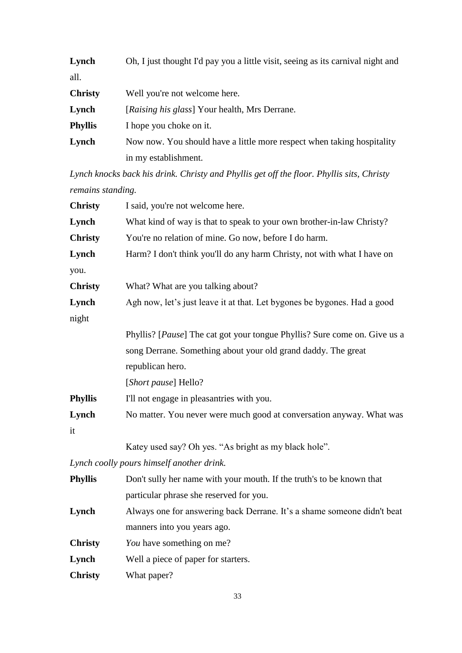| Lynch          | Oh, I just thought I'd pay you a little visit, seeing as its carnival night and |
|----------------|---------------------------------------------------------------------------------|
| all.           |                                                                                 |
| <b>Christy</b> | Well you're not welcome here.                                                   |
| Lynch          | [Raising his glass] Your health, Mrs Derrane.                                   |
| <b>Phyllis</b> | I hope you choke on it.                                                         |
| Lynch          | Now now. You should have a little more respect when taking hospitality          |
|                | in my establishment.                                                            |

*Lynch knocks back his drink. Christy and Phyllis get off the floor. Phyllis sits, Christy remains standing.*

| <b>Christy</b> | I said, you're not welcome here.                                                   |
|----------------|------------------------------------------------------------------------------------|
| Lynch          | What kind of way is that to speak to your own brother-in-law Christy?              |
| <b>Christy</b> | You're no relation of mine. Go now, before I do harm.                              |
| Lynch          | Harm? I don't think you'll do any harm Christy, not with what I have on            |
| you.           |                                                                                    |
| <b>Christy</b> | What? What are you talking about?                                                  |
| Lynch          | Agh now, let's just leave it at that. Let bygones be bygones. Had a good           |
| night          |                                                                                    |
|                | Phyllis? [ <i>Pause</i> ] The cat got your tongue Phyllis? Sure come on. Give us a |
|                | song Derrane. Something about your old grand daddy. The great                      |
|                | republican hero.                                                                   |
|                | [ <i>Short pause</i> ] Hello?                                                      |
| <b>Phyllis</b> | I'll not engage in pleasantries with you.                                          |
| Lynch          | No matter. You never were much good at conversation anyway. What was               |
| it             |                                                                                    |
|                |                                                                                    |

Katey used say? Oh yes. "As bright as my black hole".

*Lynch coolly pours himself another drink.*

| <b>Phyllis</b> | Don't sully her name with your mouth. If the truth's to be known that   |
|----------------|-------------------------------------------------------------------------|
|                | particular phrase she reserved for you.                                 |
| Lynch          | Always one for answering back Derrane. It's a shame someone didn't beat |
|                | manners into you years ago.                                             |
| <b>Christy</b> | <i>You</i> have something on me?                                        |
| Lynch          | Well a piece of paper for starters.                                     |
| <b>Christy</b> | What paper?                                                             |
|                |                                                                         |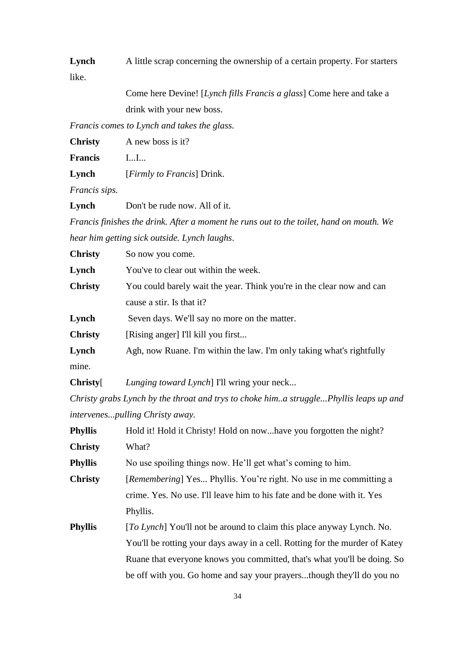**Lynch** A little scrap concerning the ownership of a certain property. For starters like.

> Come here Devine! [*Lynch fills Francis a glass*] Come here and take a drink with your new boss.

*Francis comes to Lynch and takes the glass.*

**Christy** A new boss is it?

**Francis** I...I...

**Lynch** [*Firmly to Francis*] Drink.

*Francis sips.*

Lynch Don't be rude now. All of it.

*Francis finishes the drink. After a moment he runs out to the toilet, hand on mouth. We hear him getting sick outside. Lynch laughs*.

| <b>Christy</b> | So now you come.                                                      |
|----------------|-----------------------------------------------------------------------|
| Lynch          | You've to clear out within the week.                                  |
| <b>Christy</b> | You could barely wait the year. Think you're in the clear now and can |
|                | cause a stir. Is that it?                                             |
| Lynch          | Seven days. We'll say no more on the matter.                          |
| <b>Christy</b> | [Rising anger] I'll kill you first                                    |
| Lynch          | Agh, now Ruane. I'm within the law. I'm only taking what's rightfully |
| mine.          |                                                                       |

**Christy**[ *Lunging toward Lynch*] I'll wring your neck...

*Christy grabs Lynch by the throat and trys to choke him..a struggle...Phyllis leaps up and intervenes...pulling Christy away.*

| <b>Phyllis</b> | Hold it! Hold it Christy! Hold on nowhave you forgotten the night?          |
|----------------|-----------------------------------------------------------------------------|
| <b>Christy</b> | What?                                                                       |
| <b>Phyllis</b> | No use spoiling things now. He'll get what's coming to him.                 |
| <b>Christy</b> | [Remembering] Yes Phyllis. You're right. No use in me committing a          |
|                | crime. Yes. No use. I'll leave him to his fate and be done with it. Yes     |
|                | Phyllis.                                                                    |
| Phyllis        | [To Lynch] You'll not be around to claim this place anyway Lynch. No.       |
|                | You'll be rotting your days away in a cell. Rotting for the murder of Katey |
|                | Ruane that everyone knows you committed, that's what you'll be doing. So    |
|                | be off with you. Go home and say your prayersthough they'll do you no       |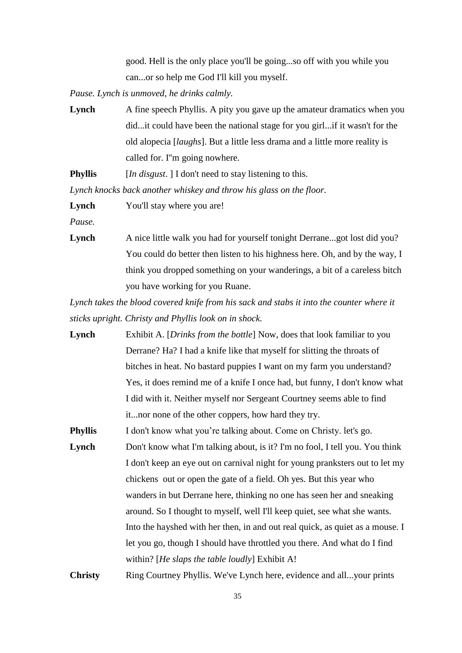good. Hell is the only place you'll be going...so off with you while you can...or so help me God I'll kill you myself.

*Pause. Lynch is unmoved, he drinks calmly.*

**Lynch** A fine speech Phyllis. A pity you gave up the amateur dramatics when you did...it could have been the national stage for you girl...if it wasn't for the old alopecia [*laughs*]. But a little less drama and a little more reality is called for. I''m going nowhere.

**Phyllis** [*In disgust*. ] I don't need to stay listening to this.

*Lynch knocks back another whiskey and throw his glass on the floor.*

Lynch You'll stay where you are!

*Pause.*

**Lynch** A nice little walk you had for yourself tonight Derrane...got lost did you? You could do better then listen to his highness here. Oh, and by the way, I think you dropped something on your wanderings, a bit of a careless bitch you have working for you Ruane.

*Lynch takes the blood covered knife from his sack and stabs it into the counter where it sticks upright. Christy and Phyllis look on in shock.*

**Lynch** Exhibit A. [*Drinks from the bottle*] Now, does that look familiar to you Derrane? Ha? I had a knife like that myself for slitting the throats of bitches in heat. No bastard puppies I want on my farm you understand? Yes, it does remind me of a knife I once had, but funny, I don't know what I did with it. Neither myself nor Sergeant Courtney seems able to find it...nor none of the other coppers, how hard they try.

**Phyllis** I don't know what you're talking about. Come on Christy. let's go.

**Lynch** Don't know what I'm talking about, is it? I'm no fool, I tell you. You think I don't keep an eye out on carnival night for young pranksters out to let my chickens out or open the gate of a field. Oh yes. But this year who wanders in but Derrane here, thinking no one has seen her and sneaking around. So I thought to myself, well I'll keep quiet, see what she wants. Into the hayshed with her then, in and out real quick, as quiet as a mouse. I let you go, though I should have throttled you there. And what do I find within? [*He slaps the table loudly*] Exhibit A!

**Christy** Ring Courtney Phyllis. We've Lynch here, evidence and all...your prints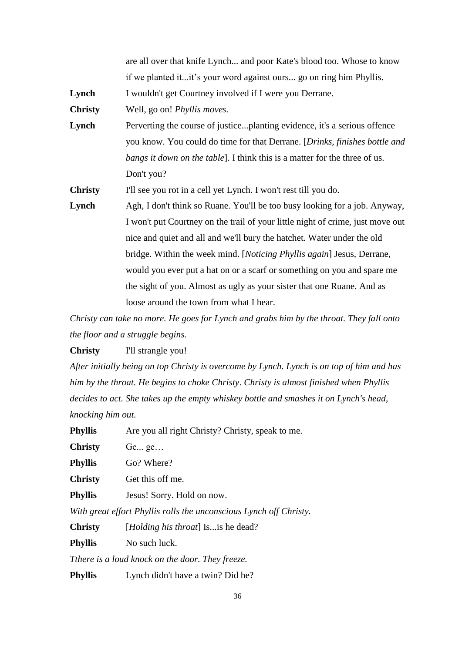|                | are all over that knife Lynch and poor Kate's blood too. Whose to know          |
|----------------|---------------------------------------------------------------------------------|
|                | if we planted itit's your word against ours go on ring him Phyllis.             |
| Lynch          | I wouldn't get Courtney involved if I were you Derrane.                         |
| <b>Christy</b> | Well, go on! <i>Phyllis moves</i> .                                             |
| Lynch          | Perverting the course of justiceplanting evidence, it's a serious offence       |
|                | you know. You could do time for that Derrane. [Drinks, finishes bottle and      |
|                | bangs it down on the table]. I think this is a matter for the three of us.      |
|                | Don't you?                                                                      |
| <b>Christy</b> | I'll see you rot in a cell yet Lynch. I won't rest till you do.                 |
| Lynch          | Agh, I don't think so Ruane. You'll be too busy looking for a job. Anyway,      |
|                | I won't put Courtney on the trail of your little night of crime, just move out  |
|                | nice and quiet and all and we'll bury the hatchet. Water under the old          |
|                | bridge. Within the week mind. [ <i>Noticing Phyllis again</i> ] Jesus, Derrane, |
|                | would you ever put a hat on or a scarf or something on you and spare me         |
|                | the sight of you. Almost as ugly as your sister that one Ruane. And as          |
|                | loose around the town from what I hear.                                         |

*Christy can take no more. He goes for Lynch and grabs him by the throat. They fall onto the floor and a struggle begins.*

**Christy** I'll strangle you!

*After initially being on top Christy is overcome by Lynch. Lynch is on top of him and has him by the throat. He begins to choke Christy*. *Christy is almost finished when Phyllis decides to act. She takes up the empty whiskey bottle and smashes it on Lynch's head, knocking him out.* 

**Phyllis** Are you all right Christy? Christy, speak to me.

**Christy** Ge... ge…

**Phyllis** Go? Where?

**Christy** Get this off me.

**Phyllis** Jesus! Sorry. Hold on now.

*With great effort Phyllis rolls the unconscious Lynch off Christy.*

**Christy** [*Holding his throat*] Is...is he dead?

**Phyllis** No such luck.

*Tthere is a loud knock on the door. They freeze.*

**Phyllis** Lynch didn't have a twin? Did he?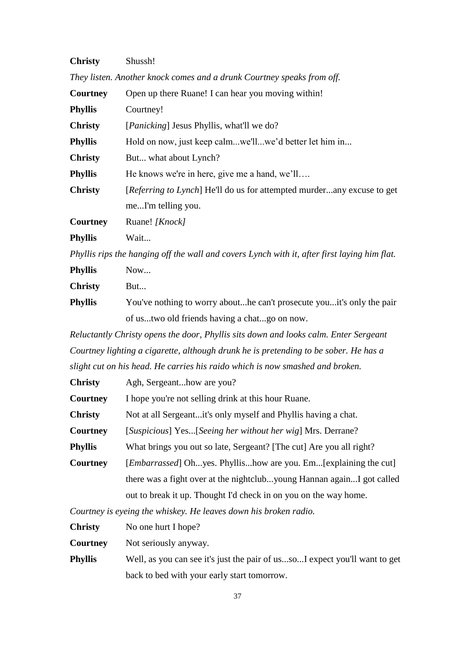| <b>Christy</b> | Shussh! |
|----------------|---------|
|----------------|---------|

| They listen. Another knock comes and a drunk Courtney speaks from off. |  |  |
|------------------------------------------------------------------------|--|--|
|                                                                        |  |  |

| <b>Courtney</b> | Open up there Ruane! I can hear you moving within!                            |  |
|-----------------|-------------------------------------------------------------------------------|--|
| <b>Phyllis</b>  | Courtney!                                                                     |  |
| <b>Christy</b>  | [ <i>Panicking</i> ] Jesus Phyllis, what'll we do?                            |  |
| <b>Phyllis</b>  | Hold on now, just keep calmwe'llwe'd better let him in                        |  |
| <b>Christy</b>  | But what about Lynch?                                                         |  |
| <b>Phyllis</b>  | He knows we're in here, give me a hand, we'll                                 |  |
| <b>Christy</b>  | <i>[Referring to Lynch]</i> He'll do us for attempted murderany excuse to get |  |
|                 | meI'm telling you.                                                            |  |
| Courtney        | Ruane! [Knock]                                                                |  |
| <b>Phyllis</b>  | Wait                                                                          |  |

*Phyllis rips the hanging off the wall and covers Lynch with it, after first laying him flat.*

| <b>Phyllis</b> | Now                                                                   |
|----------------|-----------------------------------------------------------------------|
| <b>Christy</b> | But                                                                   |
| <b>Phyllis</b> | You've nothing to worry abouthe can't prosecute youtt's only the pair |
|                | of ustwo old friends having a chatgo on now.                          |

*Reluctantly Christy opens the door, Phyllis sits down and looks calm. Enter Sergeant Courtney lighting a cigarette, although drunk he is pretending to be sober. He has a slight cut on his head. He carries his raido which is now smashed and broken.*

| <b>Christy</b>  | Agh, Sergeanthow are you?                                                |
|-----------------|--------------------------------------------------------------------------|
| Courtney        | I hope you're not selling drink at this hour Ruane.                      |
| <b>Christy</b>  | Not at all Sergeantit's only myself and Phyllis having a chat.           |
| <b>Courtney</b> | [Suspicious] Yes[Seeing her without her wig] Mrs. Derrane?               |
| <b>Phyllis</b>  | What brings you out so late, Sergeant? [The cut] Are you all right?      |
| Courtney        | [ <i>Embarrassed</i> ] Ohyes. Phyllishow are you. Em[explaining the cut] |
|                 | there was a fight over at the nightclubyoung Hannan againI got called    |
|                 | out to break it up. Thought I'd check in on you on the way home.         |
|                 |                                                                          |

*Courtney is eyeing the whiskey. He leaves down his broken radio.*

**Christy** No one hurt I hope?

**Courtney** Not seriously anyway.

**Phyllis** Well, as you can see it's just the pair of us...so...I expect you'll want to get back to bed with your early start tomorrow.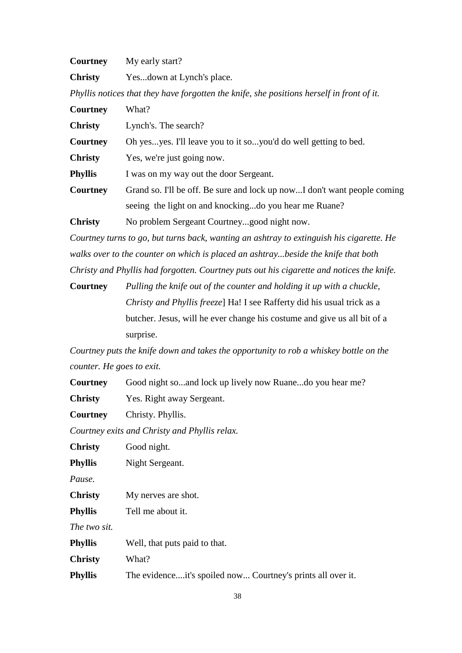| Courtney       | My early start?                                                                           |  |
|----------------|-------------------------------------------------------------------------------------------|--|
| <b>Christy</b> | Yesdown at Lynch's place.                                                                 |  |
|                | Phyllis notices that they have forgotten the knife, she positions herself in front of it. |  |
| Courtney       | What?                                                                                     |  |
| <b>Christy</b> | Lynch's. The search?                                                                      |  |
| Courtney       | Oh yesyes. I'll leave you to it soyou'd do well getting to bed.                           |  |
| <b>Christy</b> | Yes, we're just going now.                                                                |  |
| <b>Phyllis</b> | I was on my way out the door Sergeant.                                                    |  |
| Courtney       | Grand so. I'll be off. Be sure and lock up nowI don't want people coming                  |  |
|                | seeing the light on and knockingdo you hear me Ruane?                                     |  |
| <b>Christy</b> | No problem Sergeant Courtneygood night now.                                               |  |

*Courtney turns to go, but turns back, wanting an ashtray to extinguish his cigarette. He walks over to the counter on which is placed an ashtray...beside the knife that both Christy and Phyllis had forgotten. Courtney puts out his cigarette and notices the knife.*

**Courtney** *Pulling the knife out of the counter and holding it up with a chuckle, Christy and Phyllis freeze*] Ha! I see Rafferty did his usual trick as a butcher. Jesus, will he ever change his costume and give us all bit of a surprise.

*Courtney puts the knife down and takes the opportunity to rob a whiskey bottle on the counter. He goes to exit.*

**Courtney** Good night so...and lock up lively now Ruane...do you hear me?

**Christy** Yes. Right away Sergeant.

**Courtney** Christy. Phyllis.

*Courtney exits and Christy and Phyllis relax.*

| <b>Christy</b> | Good night.                                                 |
|----------------|-------------------------------------------------------------|
| Phyllis        | Night Sergeant.                                             |
| Pause.         |                                                             |
| <b>Christy</b> | My nerves are shot.                                         |
| Phyllis        | Tell me about it.                                           |
| The two sit.   |                                                             |
| Phyllis        | Well, that puts paid to that.                               |
| <b>Christy</b> | What?                                                       |
| <b>Phyllis</b> | The evidenceit's spoiled now Courtney's prints all over it. |
|                |                                                             |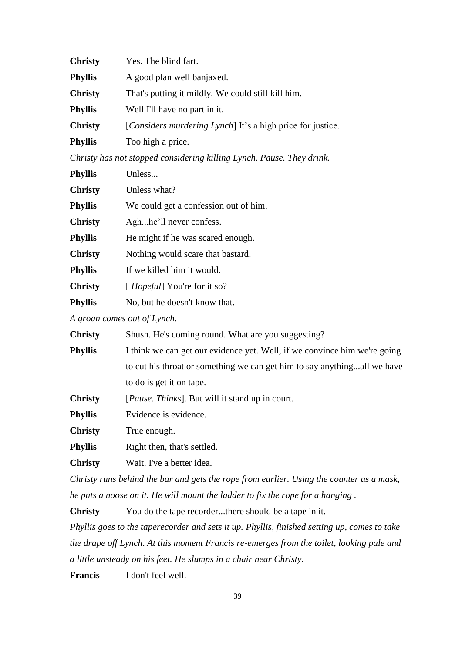| <b>Christy</b> | Yes. The blind fart.                                       |
|----------------|------------------------------------------------------------|
| <b>Phyllis</b> | A good plan well banjaxed.                                 |
| <b>Christy</b> | That's putting it mildly. We could still kill him.         |
| <b>Phyllis</b> | Well I'll have no part in it.                              |
| <b>Christy</b> | [Considers murdering Lynch] It's a high price for justice. |
| <b>Phyllis</b> | Too high a price.                                          |

*Christy has not stopped considering killing Lynch. Pause. They drink.* 

| <b>Phyllis</b> | Unless                                |
|----------------|---------------------------------------|
| <b>Christy</b> | Unless what?                          |
| <b>Phyllis</b> | We could get a confession out of him. |
| <b>Christy</b> | Aghhe'll never confess.               |
| <b>Phyllis</b> | He might if he was scared enough.     |
| <b>Christy</b> | Nothing would scare that bastard.     |
| <b>Phyllis</b> | If we killed him it would.            |
| <b>Christy</b> | [ <i>Hopeful</i> ] You're for it so?  |
| <b>Phyllis</b> | No, but he doesn't know that.         |

*A groan comes out of Lynch.*

| <b>Christy</b> | Shush. He's coming round. What are you suggesting?                        |
|----------------|---------------------------------------------------------------------------|
| <b>Phyllis</b> | I think we can get our evidence yet. Well, if we convince him we're going |
|                | to cut his throat or something we can get him to say anythingall we have  |
|                | to do is get it on tape.                                                  |
| <b>Christy</b> | [ <i>Pause. Thinks</i> ]. But will it stand up in court.                  |
| <b>Phyllis</b> | Evidence is evidence.                                                     |
| <b>Christy</b> | True enough.                                                              |
| <b>Phyllis</b> | Right then, that's settled.                                               |

**Christy** Wait. I've a better idea.

*Christy runs behind the bar and gets the rope from earlier. Using the counter as a mask, he puts a noose on it. He will mount the ladder to fix the rope for a hanging .*

**Christy** You do the tape recorder...there should be a tape in it. *Phyllis goes to the taperecorder and sets it up. Phyllis, finished setting up, comes to take the drape off Lynch*. *At this moment Francis re-emerges from the toilet, looking pale and a little unsteady on his feet. He slumps in a chair near Christy.*

**Francis** I don't feel well.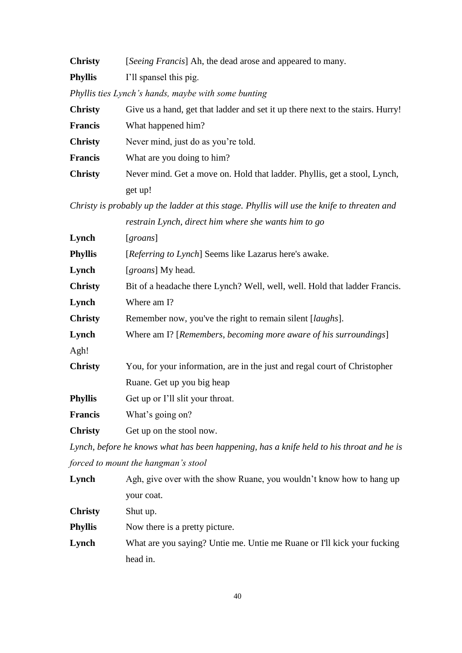| <b>Christy</b> | [Seeing Francis] Ah, the dead arose and appeared to many.                                   |  |
|----------------|---------------------------------------------------------------------------------------------|--|
| <b>Phyllis</b> | I'll spansel this pig.                                                                      |  |
|                | Phyllis ties Lynch's hands, maybe with some bunting                                         |  |
| <b>Christy</b> | Give us a hand, get that ladder and set it up there next to the stairs. Hurry!              |  |
| <b>Francis</b> | What happened him?                                                                          |  |
| <b>Christy</b> | Never mind, just do as you're told.                                                         |  |
| <b>Francis</b> | What are you doing to him?                                                                  |  |
| <b>Christy</b> | Never mind. Get a move on. Hold that ladder. Phyllis, get a stool, Lynch,                   |  |
|                | get up!                                                                                     |  |
|                | Christy is probably up the ladder at this stage. Phyllis will use the knife to threaten and |  |
|                | restrain Lynch, direct him where she wants him to go                                        |  |
| Lynch          | [ <i>groups</i> ]                                                                           |  |
| <b>Phyllis</b> | [Referring to Lynch] Seems like Lazarus here's awake.                                       |  |
| Lynch          | [groans] My head.                                                                           |  |
| <b>Christy</b> | Bit of a headache there Lynch? Well, well, well. Hold that ladder Francis.                  |  |
| Lynch          | Where am I?                                                                                 |  |
| <b>Christy</b> | Remember now, you've the right to remain silent [ <i>laughs</i> ].                          |  |
| Lynch          | Where am I? [Remembers, becoming more aware of his surroundings]                            |  |
| Agh!           |                                                                                             |  |
| <b>Christy</b> | You, for your information, are in the just and regal court of Christopher                   |  |
|                | Ruane. Get up you big heap                                                                  |  |
| <b>Phyllis</b> | Get up or I'll slit your throat.                                                            |  |
| <b>Francis</b> | What's going on?                                                                            |  |
| <b>Christy</b> | Get up on the stool now.                                                                    |  |
|                | Lynch, before he knows what has been happening, has a knife held to his throat and he is    |  |
|                | forced to mount the hangman's stool                                                         |  |
| Lynch          | Agh, give over with the show Ruane, you wouldn't know how to hang up                        |  |
|                | your coat.                                                                                  |  |
| <b>Christy</b> | Shut up.                                                                                    |  |
| <b>Phyllis</b> | Now there is a pretty picture.                                                              |  |
|                |                                                                                             |  |

**Lynch** What are you saying? Untie me. Untie me Ruane or I'll kick your fucking head in.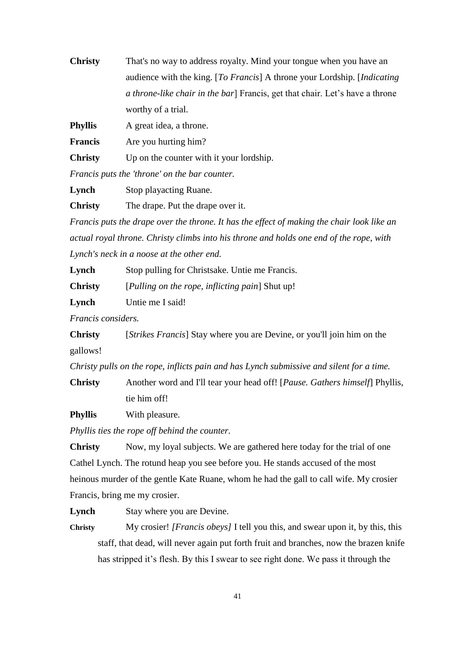| <b>Christy</b> | That's no way to address royalty. Mind your tongue when you have an                |
|----------------|------------------------------------------------------------------------------------|
|                | audience with the king. [To Francis] A throne your Lordship. [Indicating]          |
|                | <i>a throne-like chair in the bar</i> Francis, get that chair. Let's have a throne |
|                | worthy of a trial.                                                                 |
|                |                                                                                    |

**Phyllis** A great idea, a throne.

**Francis** Are you hurting him?

**Christy** Up on the counter with it your lordship.

*Francis puts the 'throne' on the bar counter.*

**Lynch** Stop playacting Ruane.

**Christy** The drape. Put the drape over it.

*Francis puts the drape over the throne. It has the effect of making the chair look like an actual royal throne. Christy climbs into his throne and holds one end of the rope, with Lynch's neck in a noose at the other end.*

**Lynch** Stop pulling for Christsake. Untie me Francis.

**Christy** [*Pulling on the rope, inflicting pain*] Shut up!

**Lynch** Untie me I said!

*Francis considers.*

**Christy** [*Strikes Francis*] Stay where you are Devine, or you'll join him on the gallows!

*Christy pulls on the rope, inflicts pain and has Lynch submissive and silent for a time.*

**Christy** Another word and I'll tear your head off! [*Pause. Gathers himself*] Phyllis, tie him off!

**Phyllis** With pleasure.

*Phyllis ties the rope off behind the counter.*

**Christy** Now, my loyal subjects. We are gathered here today for the trial of one Cathel Lynch. The rotund heap you see before you. He stands accused of the most heinous murder of the gentle Kate Ruane, whom he had the gall to call wife. My crosier Francis, bring me my crosier.

Lynch Stay where you are Devine.

**Christy** My crosier! *[Francis obeys]* I tell you this, and swear upon it, by this, this staff, that dead, will never again put forth fruit and branches, now the brazen knife has stripped it's flesh. By this I swear to see right done. We pass it through the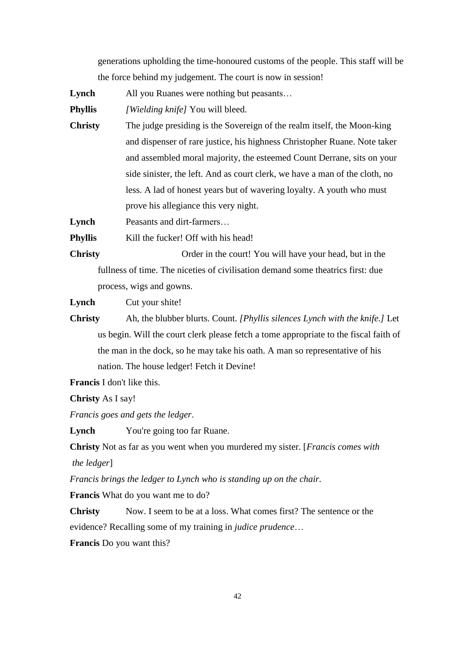generations upholding the time-honoured customs of the people. This staff will be the force behind my judgement. The court is now in session!

**Lynch** All you Ruanes were nothing but peasants…

**Phyllis** *[Wielding knife]* You will bleed.

**Christy** The judge presiding is the Sovereign of the realm itself, the Moon-king and dispenser of rare justice, his highness Christopher Ruane. Note taker and assembled moral majority, the esteemed Count Derrane, sits on your side sinister, the left. And as court clerk, we have a man of the cloth, no less. A lad of honest years but of wavering loyalty. A youth who must prove his allegiance this very night.

Lynch Peasants and dirt-farmers...

**Phyllis** Kill the fucker! Off with his head!

**Christy** Order in the court! You will have your head, but in the fullness of time. The niceties of civilisation demand some theatrics first: due process, wigs and gowns.

**Lynch** Cut your shite!

**Christy** Ah, the blubber blurts. Count. *[Phyllis silences Lynch with the knife.]* Let us begin. Will the court clerk please fetch a tome appropriate to the fiscal faith of the man in the dock, so he may take his oath. A man so representative of his nation. The house ledger! Fetch it Devine!

**Francis** I don't like this.

**Christy** As I say!

*Francis goes and gets the ledger*.

Lynch You're going too far Ruane.

**Christy** Not as far as you went when you murdered my sister. [*Francis comes with the ledger*]

*Francis brings the ledger to Lynch who is standing up on the chair.*

**Francis** What do you want me to do?

**Christy** Now. I seem to be at a loss. What comes first? The sentence or the evidence? Recalling some of my training in *judice prudence*…

**Francis** Do you want this?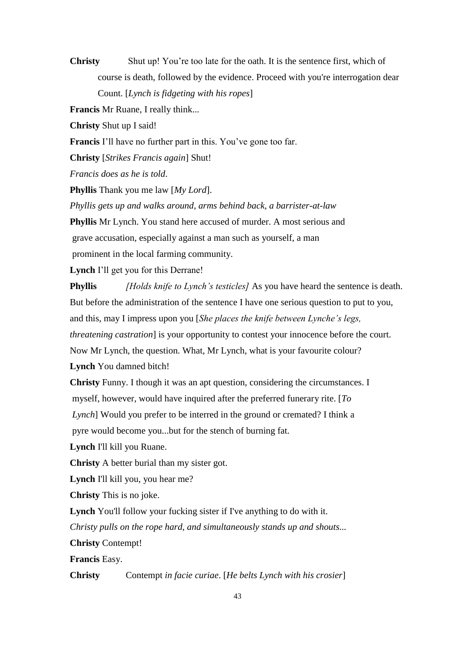**Christy** Shut up! You're too late for the oath. It is the sentence first, which of course is death, followed by the evidence. Proceed with you're interrogation dear Count. [*Lynch is fidgeting with his ropes*]

**Francis** Mr Ruane, I really think...

**Christy** Shut up I said!

**Francis** I'll have no further part in this. You've gone too far.

**Christy** [*Strikes Francis again*] Shut!

*Francis does as he is told*.

**Phyllis** Thank you me law [*My Lord*].

*Phyllis gets up and walks around, arms behind back, a barrister-at-law*

**Phyllis** Mr Lynch. You stand here accused of murder. A most serious and

grave accusation, especially against a man such as yourself, a man

prominent in the local farming community.

**Lynch** I'll get you for this Derrane!

**Phyllis** *[Holds knife to Lynch's testicles]* As you have heard the sentence is death. But before the administration of the sentence I have one serious question to put to you, and this, may I impress upon you [*She places the knife between Lynche's legs, threatening castration*] is your opportunity to contest your innocence before the court. Now Mr Lynch, the question. What, Mr Lynch, what is your favourite colour? **Lynch** You damned bitch!

**Christy** Funny. I though it was an apt question, considering the circumstances. I myself, however, would have inquired after the preferred funerary rite. [*To Lynch*] Would you prefer to be interred in the ground or cremated? I think a pyre would become you...but for the stench of burning fat.

**Lynch** I'll kill you Ruane.

**Christy** A better burial than my sister got.

**Lynch** I'll kill you, you hear me?

**Christy** This is no joke.

**Lynch** You'll follow your fucking sister if I've anything to do with it.

*Christy pulls on the rope hard, and simultaneously stands up and shouts...*

**Christy** Contempt!

**Francis** Easy.

**Christy** Contempt *in facie curiae*. [*He belts Lynch with his crosier*]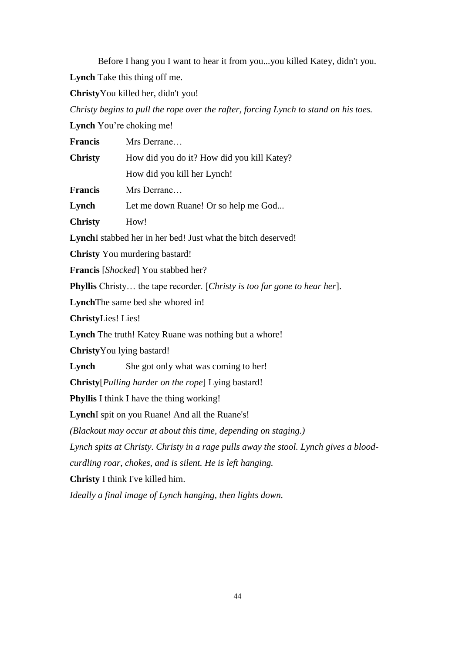Before I hang you I want to hear it from you...you killed Katey, didn't you. **Lynch** Take this thing off me.

**Christy**You killed her, didn't you!

*Christy begins to pull the rope over the rafter, forcing Lynch to stand on his toes.*

**Lynch** You're choking me!

| <b>Francis</b>                                                                       | Mrs Derrane                                                    |  |
|--------------------------------------------------------------------------------------|----------------------------------------------------------------|--|
| <b>Christy</b>                                                                       | How did you do it? How did you kill Katey?                     |  |
|                                                                                      | How did you kill her Lynch!                                    |  |
| <b>Francis</b>                                                                       | Mrs Derrane                                                    |  |
| Lynch                                                                                | Let me down Ruane! Or so help me God                           |  |
| <b>Christy</b>                                                                       | How!                                                           |  |
|                                                                                      | LynchI stabbed her in her bed! Just what the bitch deserved!   |  |
|                                                                                      | <b>Christy</b> You murdering bastard!                          |  |
| <b>Francis</b> [ <i>Shocked</i> ] You stabbed her?                                   |                                                                |  |
| <b>Phyllis</b> Christy the tape recorder. [Christy is too far gone to hear her].     |                                                                |  |
|                                                                                      | LynchThe same bed she whored in!                               |  |
| <b>ChristyLies!</b> Lies!                                                            |                                                                |  |
|                                                                                      | Lynch The truth! Katey Ruane was nothing but a whore!          |  |
| ChristyYou lying bastard!                                                            |                                                                |  |
| Lynch                                                                                | She got only what was coming to her!                           |  |
| <b>Christy</b> [ <i>Pulling harder on the rope</i> ] Lying bastard!                  |                                                                |  |
|                                                                                      | <b>Phyllis</b> I think I have the thing working!               |  |
|                                                                                      | LynchI spit on you Ruane! And all the Ruane's!                 |  |
|                                                                                      | (Blackout may occur at about this time, depending on staging.) |  |
| Lynch spits at Christy. Christy in a rage pulls away the stool. Lynch gives a blood- |                                                                |  |
|                                                                                      | curdling roar, chokes, and is silent. He is left hanging.      |  |
|                                                                                      | <b>Christy</b> I think I've killed him.                        |  |
| Ideally a final image of Lynch hanging, then lights down.                            |                                                                |  |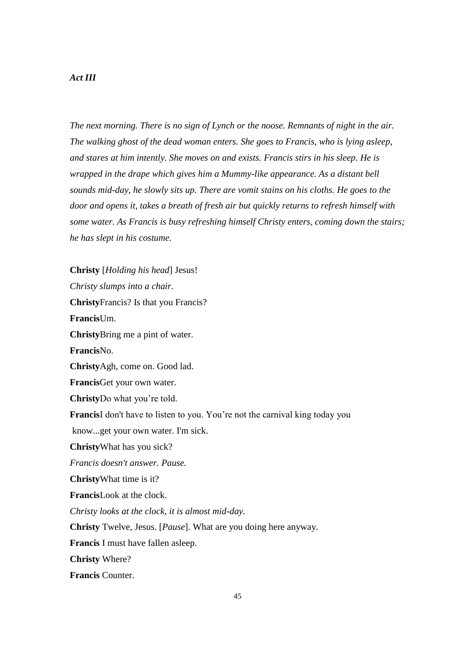### *Act III*

*The next morning. There is no sign of Lynch or the noose. Remnants of night in the air. The walking ghost of the dead woman enters. She goes to Francis, who is lying asleep, and stares at him intently. She moves on and exists. Francis stirs in his sleep. He is wrapped in the drape which gives him a Mummy-like appearance. As a distant bell sounds mid-day, he slowly sits up. There are vomit stains on his cloths. He goes to the door and opens it, takes a breath of fresh air but quickly returns to refresh himself with some water. As Francis is busy refreshing himself Christy enters, coming down the stairs; he has slept in his costume.*

**Christy** [*Holding his head*] Jesus! *Christy slumps into a chair.* **Christy**Francis? Is that you Francis? **Francis**Um. **Christy**Bring me a pint of water. **Francis**No. **Christy**Agh, come on. Good lad. **Francis**Get your own water. **Christy**Do what you're told. **Francis**I don't have to listen to you. You're not the carnival king today you know...get your own water. I'm sick. **Christy**What has you sick? *Francis doesn't answer. Pause.* **Christy**What time is it? **Francis**Look at the clock. *Christy looks at the clock, it is almost mid-day.* **Christy** Twelve, Jesus. [*Pause*]. What are you doing here anyway. **Francis** I must have fallen asleep. **Christy** Where? **Francis** Counter.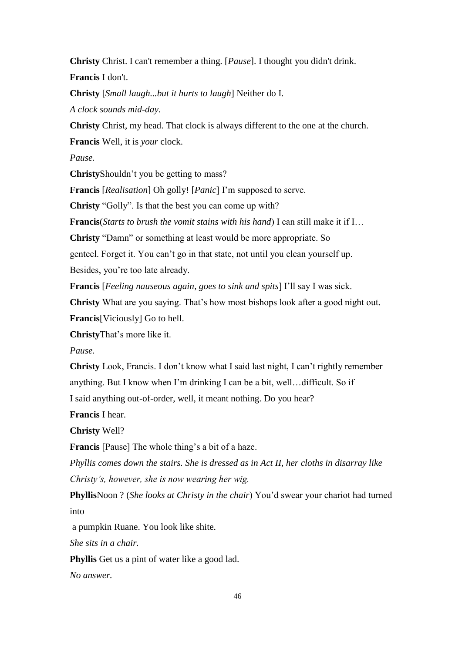**Christy** Christ. I can't remember a thing. [*Pause*]. I thought you didn't drink. **Francis** I don't.

**Christy** [*Small laugh...but it hurts to laugh*] Neither do I.

*A clock sounds mid-day.*

**Christy** Christ, my head. That clock is always different to the one at the church.

**Francis** Well, it is *your* clock.

*Pause.*

**Christy**Shouldn't you be getting to mass?

**Francis** [*Realisation*] Oh golly! [*Panic*] I'm supposed to serve.

**Christy** "Golly". Is that the best you can come up with?

**Francis**(*Starts to brush the vomit stains with his hand*) I can still make it if I…

**Christy** "Damn" or something at least would be more appropriate. So

genteel. Forget it. You can't go in that state, not until you clean yourself up.

Besides, you're too late already.

**Francis** [*Feeling nauseous again, goes to sink and spits*] I'll say I was sick.

**Christy** What are you saying. That's how most bishops look after a good night out. **Francis**[Viciously] Go to hell.

**Christy**That's more like it.

*Pause.*

**Christy** Look, Francis. I don't know what I said last night, I can't rightly remember anything. But I know when I'm drinking I can be a bit, well…difficult. So if

I said anything out-of-order, well, it meant nothing. Do you hear?

**Francis** I hear.

**Christy** Well?

**Francis** [Pause] The whole thing's a bit of a haze.

*Phyllis comes down the stairs. She is dressed as in Act II, her cloths in disarray like Christy's, however, she is now wearing her wig.*

**Phyllis**Noon ? (*She looks at Christy in the chair*) You'd swear your chariot had turned into

a pumpkin Ruane. You look like shite.

*She sits in a chair.* 

**Phyllis** Get us a pint of water like a good lad.

*No answer.*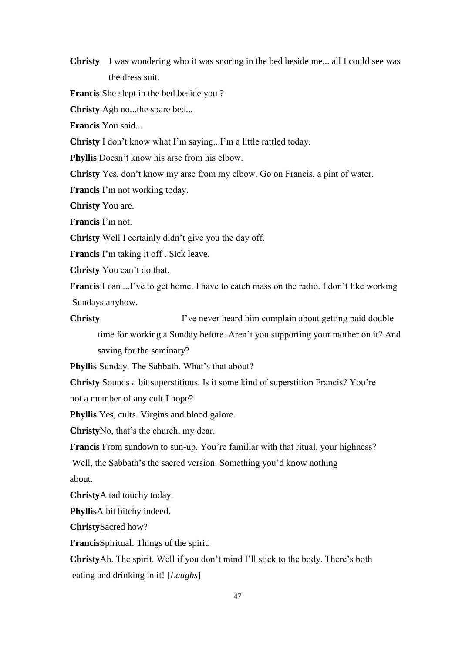**Christy** I was wondering who it was snoring in the bed beside me... all I could see was the dress suit.

**Francis** She slept in the bed beside you ?

**Christy** Agh no...the spare bed...

**Francis** You said...

**Christy** I don't know what I'm saying...I'm a little rattled today.

**Phyllis** Doesn't know his arse from his elbow.

**Christy** Yes, don't know my arse from my elbow. Go on Francis, a pint of water.

**Francis** I'm not working today.

**Christy** You are.

**Francis** I'm not.

**Christy** Well I certainly didn't give you the day off.

**Francis** I'm taking it off . Sick leave.

**Christy** You can't do that.

**Francis** I can ...I've to get home. I have to catch mass on the radio. I don't like working Sundays anyhow.

**Christy** I've never heard him complain about getting paid double time for working a Sunday before. Aren't you supporting your mother on it? And saving for the seminary?

**Phyllis** Sunday. The Sabbath. What's that about?

**Christy** Sounds a bit superstitious. Is it some kind of superstition Francis? You're

not a member of any cult I hope?

**Phyllis** Yes, cults. Virgins and blood galore.

**Christy**No, that's the church, my dear.

**Francis** From sundown to sun-up. You're familiar with that ritual, your highness?

Well, the Sabbath's the sacred version. Something you'd know nothing about.

**Christy**A tad touchy today.

**Phyllis**A bit bitchy indeed.

**Christy**Sacred how?

**Francis**Spiritual. Things of the spirit.

**Christy**Ah. The spirit. Well if you don't mind I'll stick to the body. There's both eating and drinking in it! [*Laughs*]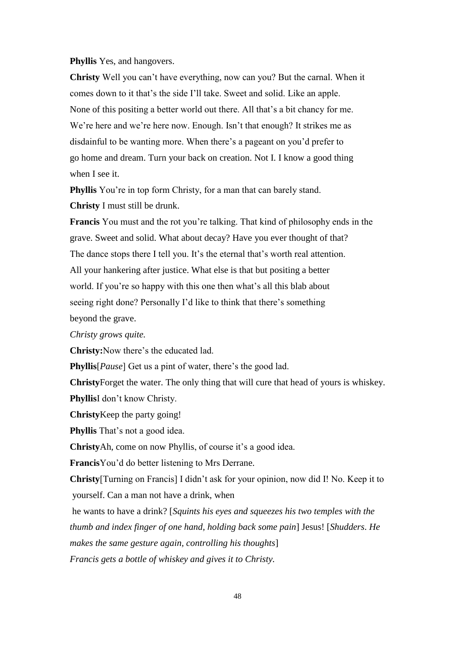# **Phyllis** Yes, and hangovers.

**Christy** Well you can't have everything, now can you? But the carnal. When it comes down to it that's the side I'll take. Sweet and solid. Like an apple. None of this positing a better world out there. All that's a bit chancy for me. We're here and we're here now. Enough. Isn't that enough? It strikes me as disdainful to be wanting more. When there's a pageant on you'd prefer to go home and dream. Turn your back on creation. Not I. I know a good thing when I see it.

**Phyllis** You're in top form Christy, for a man that can barely stand. **Christy** I must still be drunk.

**Francis** You must and the rot you're talking. That kind of philosophy ends in the grave. Sweet and solid. What about decay? Have you ever thought of that? The dance stops there I tell you. It's the eternal that's worth real attention. All your hankering after justice. What else is that but positing a better world. If you're so happy with this one then what's all this blab about seeing right done? Personally I'd like to think that there's something beyond the grave.

*Christy grows quite.*

**Christy:**Now there's the educated lad.

**Phyllis**[*Pause*] Get us a pint of water, there's the good lad.

**Christy**Forget the water. The only thing that will cure that head of yours is whiskey.

**Phyllis**I don't know Christy.

**Christy**Keep the party going!

**Phyllis** That's not a good idea.

**Christy**Ah, come on now Phyllis, of course it's a good idea.

**Francis**You'd do better listening to Mrs Derrane.

**Christy**[Turning on Francis] I didn't ask for your opinion, now did I! No. Keep it to yourself. Can a man not have a drink, when

he wants to have a drink? [*Squints his eyes and squeezes his two temples with the thumb and index finger of one hand, holding back some pain*] Jesus! [*Shudders*. *He makes the same gesture again, controlling his thoughts*] *Francis gets a bottle of whiskey and gives it to Christy.*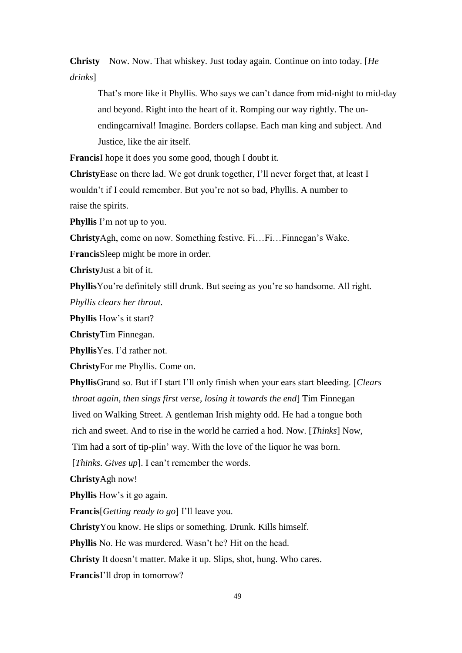**Christy**Now. Now. That whiskey. Just today again. Continue on into today. [*He drinks*]

That's more like it Phyllis. Who says we can't dance from mid-night to mid-day and beyond. Right into the heart of it. Romping our way rightly. The unendingcarnival! Imagine. Borders collapse. Each man king and subject. And Justice, like the air itself.

**Francis**I hope it does you some good, though I doubt it.

**Christy**Ease on there lad. We got drunk together, I'll never forget that, at least I wouldn't if I could remember. But you're not so bad, Phyllis. A number to raise the spirits.

**Phyllis** I'm not up to you.

**Christy**Agh, come on now. Something festive. Fi…Fi…Finnegan's Wake.

**Francis**Sleep might be more in order.

**Christy**Just a bit of it.

**Phyllis**You're definitely still drunk. But seeing as you're so handsome. All right.

*Phyllis clears her throat.*

**Phyllis** How's it start?

**Christy**Tim Finnegan.

**Phyllis**Yes. I'd rather not.

**Christy**For me Phyllis. Come on.

**Phyllis**Grand so. But if I start I'll only finish when your ears start bleeding. [*Clears throat again, then sings first verse, losing it towards the end*] Tim Finnegan lived on Walking Street. A gentleman Irish mighty odd. He had a tongue both rich and sweet. And to rise in the world he carried a hod. Now. [*Thinks*] Now, Tim had a sort of tip-plin' way. With the love of the liquor he was born. [*Thinks*. *Gives up*]. I can't remember the words.

**Christy**Agh now!

**Phyllis** How's it go again.

**Francis**[*Getting ready to go*] I'll leave you.

**Christy**You know. He slips or something. Drunk. Kills himself.

**Phyllis** No. He was murdered. Wasn't he? Hit on the head.

**Christy** It doesn't matter. Make it up. Slips, shot, hung. Who cares.

**Francis**I'll drop in tomorrow?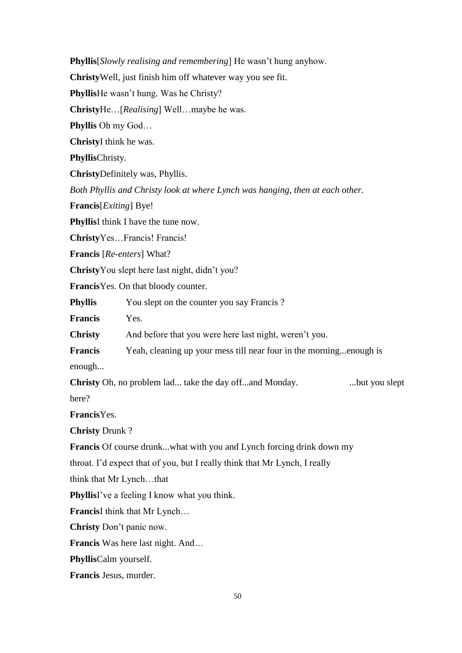**Phyllis**[*Slowly realising and remembering*] He wasn't hung anyhow. **Christy**Well, just finish him off whatever way you see fit. **Phyllis**He wasn't hung. Was he Christy? **Christy**He…[*Realising*] Well…maybe he was. **Phyllis** Oh my God… **Christy**I think he was. **Phyllis**Christy. **Christy**Definitely was, Phyllis. *Both Phyllis and Christy look at where Lynch was hanging, then at each other.* **Francis**[*Exiting*] Bye! **Phyllis**I think I have the tune now. **Christy**Yes…Francis! Francis! **Francis** [*Re-enters*] What? **Christy**You slept here last night, didn't you? **Francis**Yes. On that bloody counter. **Phyllis** You slept on the counter you say Francis ? **Francis** Yes. **Christy** And before that you were here last night, weren't you. **Francis** Yeah, cleaning up your mess till near four in the morning...enough is enough... **Christy** Oh, no problem lad... take the day off...and Monday. ... but you slept here? **Francis**Yes. **Christy** Drunk ? **Francis** Of course drunk...what with you and Lynch forcing drink down my throat. I'd expect that of you, but I really think that Mr Lynch, I really think that Mr Lynch…that **Phyllis**I've a feeling I know what you think. **Francis**I think that Mr Lynch… **Christy** Don't panic now. **Francis** Was here last night. And… **Phyllis**Calm yourself. **Francis** Jesus, murder.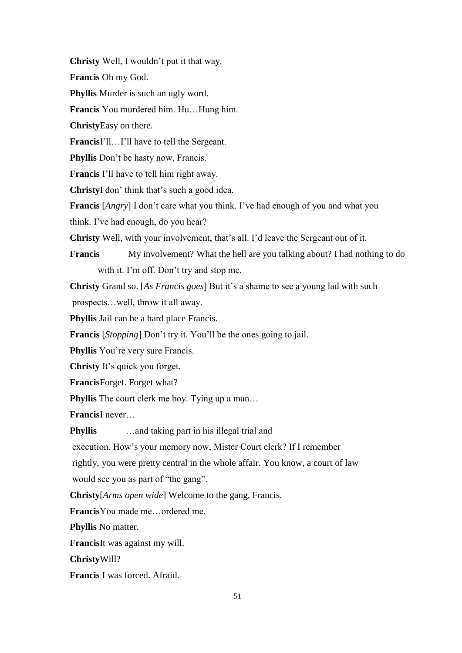**Christy** Well, I wouldn't put it that way.

**Francis** Oh my God.

**Phyllis** Murder is such an ugly word.

**Francis** You murdered him. Hu…Hung him.

**Christy**Easy on there.

**Francis**I'll…I'll have to tell the Sergeant.

**Phyllis** Don't be hasty now, Francis.

**Francis** I'll have to tell him right away.

**Christy**I don' think that's such a good idea.

**Francis** [*Angry*] I don't care what you think. I've had enough of you and what you

think. I've had enough, do you hear?

**Christy** Well, with your involvement, that's all. I'd leave the Sergeant out of it.

**Francis** My involvement? What the hell are you talking about? I had nothing to do with it. I'm off. Don't try and stop me.

**Christy** Grand so. [*As Francis goes*] But it's a shame to see a young lad with such

prospects…well, throw it all away.

**Phyllis** Jail can be a hard place Francis.

**Francis** [*Stopping*] Don't try it. You'll be the ones going to jail.

**Phyllis** You're very sure Francis.

**Christy** It's quick you forget.

**Francis**Forget. Forget what?

**Phyllis** The court clerk me boy. Tying up a man...

**Francis**I never…

**Phyllis** ... and taking part in his illegal trial and

execution. How's your memory now, Mister Court clerk? If I remember

rightly, you were pretty central in the whole affair. You know, a court of law

would see you as part of "the gang".

**Christy**[*Arms open wide*] Welcome to the gang, Francis.

**Francis**You made me…ordered me.

**Phyllis** No matter.

**Francis**It was against my will.

**Christy**Will?

**Francis** I was forced. Afraid.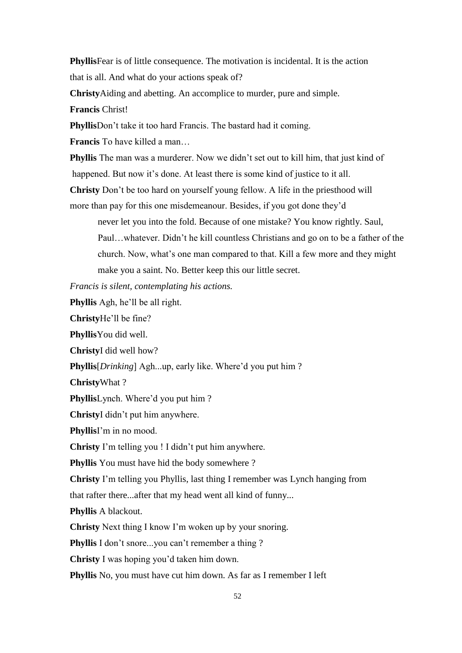**Phyllis**Fear is of little consequence. The motivation is incidental. It is the action that is all. And what do your actions speak of?

**Christy**Aiding and abetting. An accomplice to murder, pure and simple.

**Francis** Christ!

**Phyllis**Don't take it too hard Francis. The bastard had it coming.

**Francis** To have killed a man…

**Phyllis** The man was a murderer. Now we didn't set out to kill him, that just kind of happened. But now it's done. At least there is some kind of justice to it all.

**Christy** Don't be too hard on yourself young fellow. A life in the priesthood will

more than pay for this one misdemeanour. Besides, if you got done they'd

never let you into the fold. Because of one mistake? You know rightly. Saul, Paul…whatever. Didn't he kill countless Christians and go on to be a father of the church. Now, what's one man compared to that. Kill a few more and they might make you a saint. No. Better keep this our little secret.

*Francis is silent, contemplating his actions.*

**Phyllis** Agh, he'll be all right.

**Christy**He'll be fine?

**Phyllis**You did well.

**Christy**I did well how?

**Phyllis**[*Drinking*] Agh...up, early like. Where'd you put him ?

**Christy**What ?

**Phyllis**Lynch. Where'd you put him ?

**Christy**I didn't put him anywhere.

**Phyllis**I'm in no mood.

**Christy** I'm telling you ! I didn't put him anywhere.

**Phyllis** You must have hid the body somewhere ?

**Christy** I'm telling you Phyllis, last thing I remember was Lynch hanging from

that rafter there...after that my head went all kind of funny...

**Phyllis** A blackout.

**Christy** Next thing I know I'm woken up by your snoring.

**Phyllis** I don't snore...you can't remember a thing ?

**Christy** I was hoping you'd taken him down.

**Phyllis** No, you must have cut him down. As far as I remember I left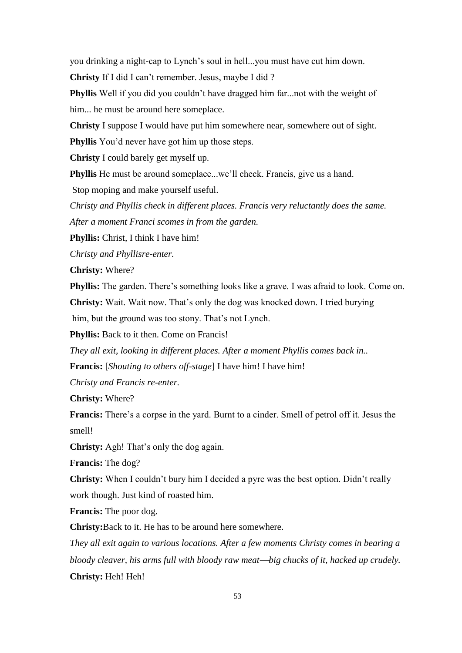you drinking a night-cap to Lynch's soul in hell...you must have cut him down.

**Christy** If I did I can't remember. Jesus, maybe I did ?

**Phyllis** Well if you did you couldn't have dragged him far...not with the weight of him... he must be around here someplace.

**Christy** I suppose I would have put him somewhere near, somewhere out of sight.

**Phyllis** You'd never have got him up those steps.

**Christy** I could barely get myself up.

**Phyllis** He must be around someplace...we'll check. Francis, give us a hand.

Stop moping and make yourself useful.

*Christy and Phyllis check in different places. Francis very reluctantly does the same. After a moment Franci scomes in from the garden.*

**Phyllis:** Christ, I think I have him!

*Christy and Phyllisre-enter.*

**Christy:** Where?

**Phyllis:** The garden. There's something looks like a grave. I was afraid to look. Come on.

**Christy:** Wait. Wait now. That's only the dog was knocked down. I tried burying

him, but the ground was too stony. That's not Lynch.

**Phyllis:** Back to it then. Come on Francis!

*They all exit, looking in different places. After a moment Phyllis comes back in..* **Francis:** [*Shouting to others off-stage*] I have him! I have him!

*Christy and Francis re-enter.*

**Christy:** Where?

**Francis:** There's a corpse in the yard. Burnt to a cinder. Smell of petrol off it. Jesus the smell!

**Christy:** Agh! That's only the dog again.

**Francis:** The dog?

**Christy:** When I couldn't bury him I decided a pyre was the best option. Didn't really work though. Just kind of roasted him.

**Francis:** The poor dog.

**Christy:**Back to it. He has to be around here somewhere.

*They all exit again to various locations. After a few moments Christy comes in bearing a bloody cleaver, his arms full with bloody raw meatbig chucks of it, hacked up crudely.* **Christy:** Heh! Heh!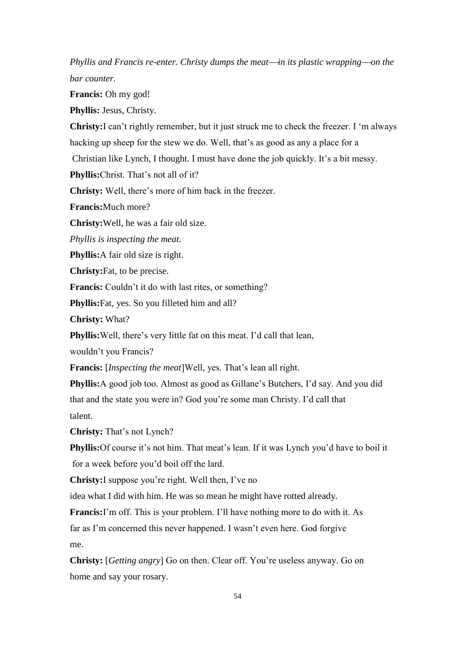*Phyllis* and Francis re-enter. Christy dumps the meat—in its plastic wrapping—on the *bar counter.*

**Francis:** Oh my god!

**Phyllis:** Jesus, Christy.

**Christy:**I can't rightly remember, but it just struck me to check the freezer. I 'm always hacking up sheep for the stew we do. Well, that's as good as any a place for a

Christian like Lynch, I thought. I must have done the job quickly. It's a bit messy.

**Phyllis:**Christ. That's not all of it?

**Christy:** Well, there's more of him back in the freezer.

**Francis:**Much more?

**Christy:**Well, he was a fair old size.

*Phyllis is inspecting the meat.*

**Phyllis:**A fair old size is right.

**Christy:**Fat, to be precise.

**Francis:** Couldn't it do with last rites, or something?

**Phyllis:**Fat, yes. So you filleted him and all?

**Christy:** What?

**Phyllis:**Well, there's very little fat on this meat. I'd call that lean,

wouldn't you Francis?

**Francis:** [*Inspecting the meat*]Well, yes. That's lean all right.

**Phyllis:**A good job too. Almost as good as Gillane's Butchers, I'd say. And you did that and the state you were in? God you're some man Christy. I'd call that talent.

**Christy:** That's not Lynch?

**Phyllis:**Of course it's not him. That meat's lean. If it was Lynch you'd have to boil it for a week before you'd boil off the lard.

**Christy:**I suppose you're right. Well then, I've no

idea what I did with him. He was so mean he might have rotted already.

**Francis:**I'm off. This is your problem. I'll have nothing more to do with it. As far as I'm concerned this never happened. I wasn't even here. God forgive me.

**Christy:** [*Getting angry*] Go on then. Clear off. You're useless anyway. Go on home and say your rosary.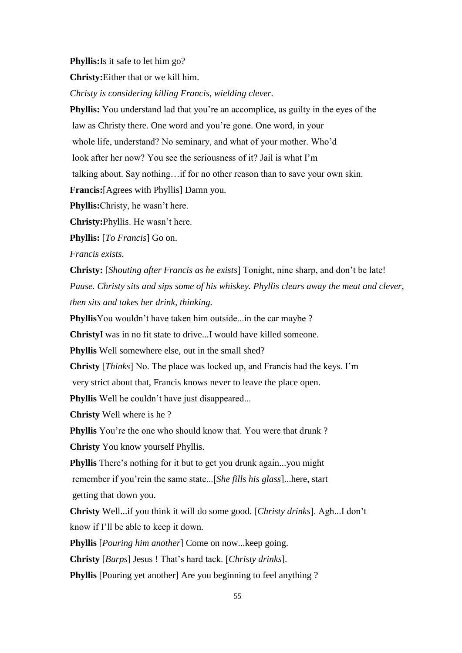**Phyllis:**Is it safe to let him go?

**Christy:**Either that or we kill him.

*Christy is considering killing Francis, wielding clever.* 

**Phyllis:** You understand lad that you're an accomplice, as guilty in the eyes of the

law as Christy there. One word and you're gone. One word, in your

whole life, understand? No seminary, and what of your mother. Who'd

look after her now? You see the seriousness of it? Jail is what I'm

talking about. Say nothing…if for no other reason than to save your own skin.

**Francis:**[Agrees with Phyllis] Damn you.

**Phyllis:**Christy, he wasn't here.

**Christy:**Phyllis. He wasn't here.

**Phyllis:** [*To Francis*] Go on.

*Francis exists.* 

**Christy:** [*Shouting after Francis as he exists*] Tonight, nine sharp, and don't be late! *Pause. Christy sits and sips some of his whiskey. Phyllis clears away the meat and clever, then sits and takes her drink, thinking.*

**Phyllis**You wouldn't have taken him outside...in the car maybe ?

**Christy**I was in no fit state to drive...I would have killed someone.

**Phyllis** Well somewhere else, out in the small shed?

**Christy** [*Thinks*] No. The place was locked up, and Francis had the keys. I'm

very strict about that, Francis knows never to leave the place open.

**Phyllis** Well he couldn't have just disappeared...

**Christy** Well where is he ?

**Phyllis** You're the one who should know that. You were that drunk?

**Christy** You know yourself Phyllis.

**Phyllis** There's nothing for it but to get you drunk again...you might remember if you'rein the same state...[*She fills his glass*]...here, start

getting that down you.

**Christy** Well...if you think it will do some good. [*Christy drinks*]. Agh...I don't know if I'll be able to keep it down.

**Phyllis** [*Pouring him another*] Come on now...keep going.

**Christy** [*Burps*] Jesus ! That's hard tack. [*Christy drinks*].

**Phyllis** [Pouring yet another] Are you beginning to feel anything ?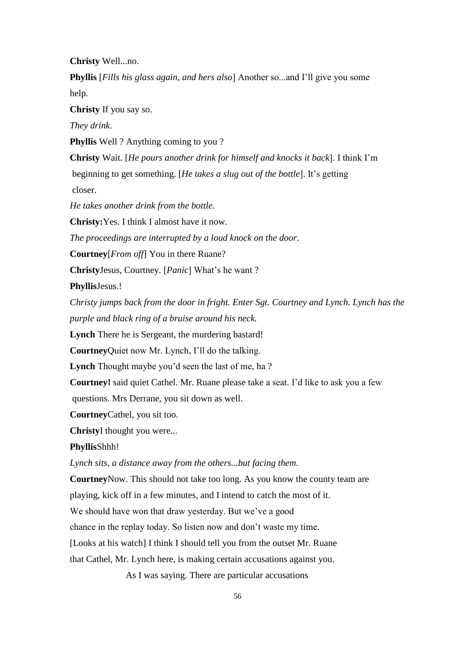**Christy** Well...no.

**Phyllis** [*Fills his glass again, and hers also*] Another so...and I'll give you some help.

**Christy** If you say so.

*They drink.*

**Phyllis** Well ? Anything coming to you ?

**Christy** Wait. [*He pours another drink for himself and knocks it back*]. I think I'm beginning to get something. [*He takes a slug out of the bottle*]. It's getting closer.

*He takes another drink from the bottle.*

**Christy:**Yes. I think I almost have it now.

*The proceedings are interrupted by a loud knock on the door.*

**Courtney**[*From off*] You in there Ruane?

**Christy**Jesus, Courtney. [*Panic*] What's he want ?

**Phyllis**Jesus.!

*Christy jumps back from the door in fright. Enter Sgt. Courtney and Lynch. Lynch has the purple and black ring of a bruise around his neck.*

**Lynch** There he is Sergeant, the murdering bastard!

**Courtney**Quiet now Mr. Lynch, I'll do the talking.

**Lynch** Thought maybe you'd seen the last of me, ha ?

**Courtney**I said quiet Cathel. Mr. Ruane please take a seat. I'd like to ask you a few

questions. Mrs Derrane, you sit down as well.

**Courtney**Cathel, you sit too.

**Christy**I thought you were...

**Phyllis**Shhh!

*Lynch sits, a distance away from the others...but facing them.*

**Courtney**Now. This should not take too long. As you know the county team are

playing, kick off in a few minutes, and I intend to catch the most of it.

We should have won that draw yesterday. But we've a good

chance in the replay today. So listen now and don't waste my time.

[Looks at his watch] I think I should tell you from the outset Mr. Ruane

that Cathel, Mr. Lynch here, is making certain accusations against you.

As I was saying. There are particular accusations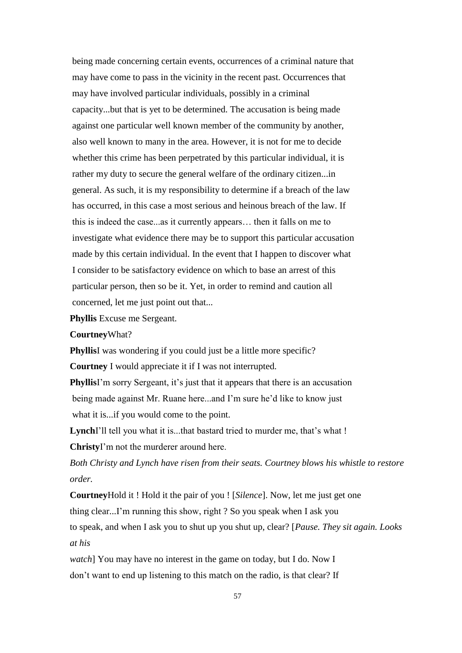being made concerning certain events, occurrences of a criminal nature that may have come to pass in the vicinity in the recent past. Occurrences that may have involved particular individuals, possibly in a criminal capacity...but that is yet to be determined. The accusation is being made against one particular well known member of the community by another, also well known to many in the area. However, it is not for me to decide whether this crime has been perpetrated by this particular individual, it is rather my duty to secure the general welfare of the ordinary citizen...in general. As such, it is my responsibility to determine if a breach of the law has occurred, in this case a most serious and heinous breach of the law. If this is indeed the case...as it currently appears… then it falls on me to investigate what evidence there may be to support this particular accusation made by this certain individual. In the event that I happen to discover what I consider to be satisfactory evidence on which to base an arrest of this particular person, then so be it. Yet, in order to remind and caution all concerned, let me just point out that...

**Phyllis** Excuse me Sergeant.

**Courtney**What?

**PhyllisI** was wondering if you could just be a little more specific? **Courtney** I would appreciate it if I was not interrupted.

**Phyllis**I'm sorry Sergeant, it's just that it appears that there is an accusation being made against Mr. Ruane here...and I'm sure he'd like to know just what it is...if you would come to the point.

**Lynch**I'll tell you what it is...that bastard tried to murder me, that's what ! **Christy**I'm not the murderer around here.

*Both Christy and Lynch have risen from their seats. Courtney blows his whistle to restore order.*

**Courtney**Hold it ! Hold it the pair of you ! [*Silence*]. Now, let me just get one thing clear...I'm running this show, right ? So you speak when I ask you to speak, and when I ask you to shut up you shut up, clear? [*Pause. They sit again. Looks at his* 

*watch*] You may have no interest in the game on today, but I do. Now I don't want to end up listening to this match on the radio, is that clear? If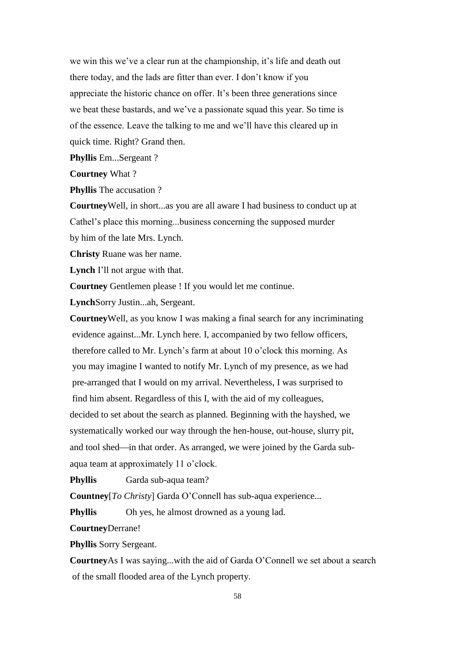we win this we've a clear run at the championship, it's life and death out there today, and the lads are fitter than ever. I don't know if you appreciate the historic chance on offer. It's been three generations since we beat these bastards, and we've a passionate squad this year. So time is of the essence. Leave the talking to me and we'll have this cleared up in quick time. Right? Grand then.

**Phyllis** Em...Sergeant ?

**Courtney** What ?

**Phyllis** The accusation ?

**Courtney**Well, in short...as you are all aware I had business to conduct up at Cathel's place this morning...business concerning the supposed murder by him of the late Mrs. Lynch.

**Christy** Ruane was her name.

**Lynch** I'll not argue with that.

**Courtney** Gentlemen please ! If you would let me continue.

**Lynch**Sorry Justin...ah, Sergeant.

**Courtney**Well, as you know I was making a final search for any incriminating evidence against...Mr. Lynch here. I, accompanied by two fellow officers, therefore called to Mr. Lynch's farm at about 10 o'clock this morning. As you may imagine I wanted to notify Mr. Lynch of my presence, as we had pre-arranged that I would on my arrival. Nevertheless, I was surprised to find him absent. Regardless of this I, with the aid of my colleagues, decided to set about the search as planned. Beginning with the hayshed, we systematically worked our way through the hen-house, out-house, slurry pit, and tool shed—in that order. As arranged, we were joined by the Garda subaqua team at approximately 11 o'clock.

**Phyllis** Garda sub-aqua team?

**Countney**[*To Christy*] Garda O'Connell has sub-aqua experience...

**Phyllis** Oh yes, he almost drowned as a young lad.

**Courtney**Derrane!

**Phyllis** Sorry Sergeant.

**Courtney**As I was saying...with the aid of Garda O'Connell we set about a search of the small flooded area of the Lynch property.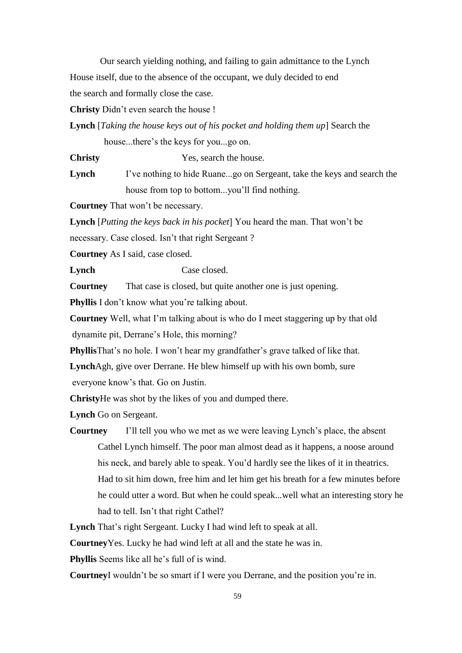Our search yielding nothing, and failing to gain admittance to the Lynch House itself, due to the absence of the occupant, we duly decided to end the search and formally close the case.

**Christy** Didn't even search the house !

**Lynch** [*Taking the house keys out of his pocket and holding them up*] Search the

house...there's the keys for you...go on.

**Christy** Yes, search the house.

**Lynch** I've nothing to hide Ruane...go on Sergeant, take the keys and search the house from top to bottom...you'll find nothing.

**Courtney** That won't be necessary.

**Lynch** [*Putting the keys back in his pocket*] You heard the man. That won't be necessary. Case closed. Isn't that right Sergeant ?

**Courtney** As I said, case closed.

**Lynch** Case closed.

**Courtney** That case is closed, but quite another one is just opening.

**Phyllis** I don't know what you're talking about.

**Courtney** Well, what I'm talking about is who do I meet staggering up by that old dynamite pit, Derrane's Hole, this morning?

**Phyllis**That's no hole. I won't hear my grandfather's grave talked of like that.

**Lynch**Agh, give over Derrane. He blew himself up with his own bomb, sure

everyone know's that. Go on Justin.

**Christy**He was shot by the likes of you and dumped there.

**Lynch** Go on Sergeant.

**Courtney** I'll tell you who we met as we were leaving Lynch's place, the absent Cathel Lynch himself. The poor man almost dead as it happens, a noose around his neck, and barely able to speak. You'd hardly see the likes of it in theatrics. Had to sit him down, free him and let him get his breath for a few minutes before he could utter a word. But when he could speak...well what an interesting story he had to tell. Isn't that right Cathel?

**Lynch** That's right Sergeant. Lucky I had wind left to speak at all.

**Courtney**Yes. Lucky he had wind left at all and the state he was in.

**Phyllis** Seems like all he's full of is wind.

**Courtney**I wouldn't be so smart if I were you Derrane, and the position you're in.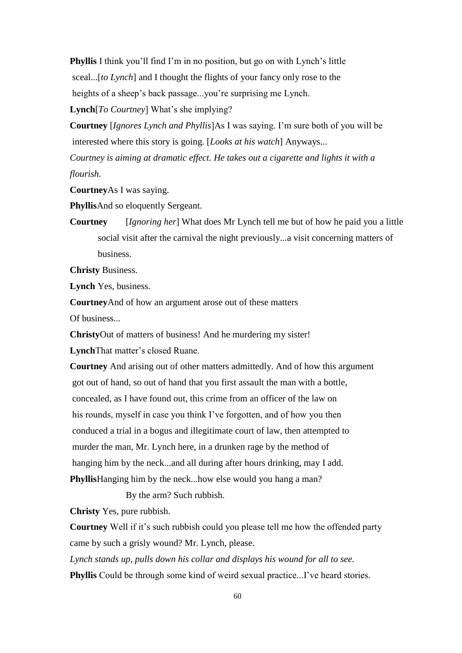**Phyllis** I think you'll find I'm in no position, but go on with Lynch's little sceal...[*to Lynch*] and I thought the flights of your fancy only rose to the heights of a sheep's back passage...you're surprising me Lynch. **Lynch**[*To Courtney*] What's she implying?

**Courtney** [*Ignores Lynch and Phyllis*]As I was saying. I'm sure both of you will be interested where this story is going. [*Looks at his watch*] Anyways... *Courtney is aiming at dramatic effect. He takes out a cigarette and lights it with a flourish.*

**Courtney**As I was saying.

**Phyllis**And so eloquently Sergeant.

**Courtney** [*Ignoring her*] What does Mr Lynch tell me but of how he paid you a little social visit after the carnival the night previously...a visit concerning matters of business.

**Christy** Business.

**Lynch** Yes, business.

**Courtney**And of how an argument arose out of these matters

Of business...

**Christy**Out of matters of business! And he murdering my sister!

**Lynch**That matter's closed Ruane.

**Courtney** And arising out of other matters admittedly. And of how this argument got out of hand, so out of hand that you first assault the man with a bottle, concealed, as I have found out, this crime from an officer of the law on his rounds, myself in case you think I've forgotten, and of how you then conduced a trial in a bogus and illegitimate court of law, then attempted to murder the man, Mr. Lynch here, in a drunken rage by the method of hanging him by the neck...and all during after hours drinking, may I add. **Phyllis**Hanging him by the neck...how else would you hang a man?

By the arm? Such rubbish.

**Christy** Yes, pure rubbish.

**Courtney** Well if it's such rubbish could you please tell me how the offended party came by such a grisly wound? Mr. Lynch, please.

*Lynch stands up, pulls down his collar and displays his wound for all to see.* **Phyllis** Could be through some kind of weird sexual practice...I've heard stories.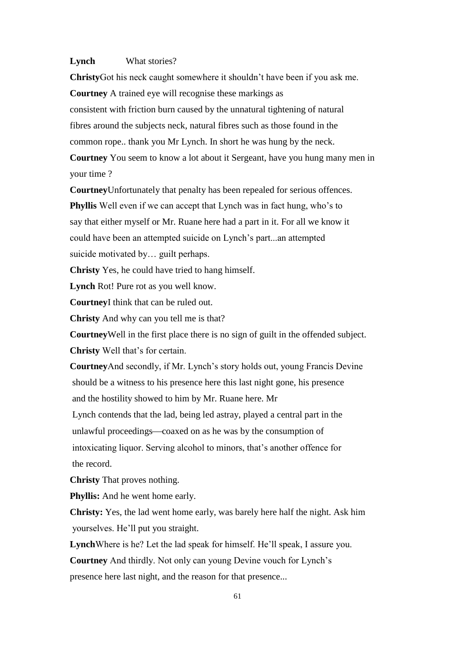#### **Lynch** What stories?

**Christy**Got his neck caught somewhere it shouldn't have been if you ask me. **Courtney** A trained eye will recognise these markings as consistent with friction burn caused by the unnatural tightening of natural fibres around the subjects neck, natural fibres such as those found in the common rope.. thank you Mr Lynch. In short he was hung by the neck. **Courtney** You seem to know a lot about it Sergeant, have you hung many men in

your time ?

**Courtney**Unfortunately that penalty has been repealed for serious offences.

**Phyllis** Well even if we can accept that Lynch was in fact hung, who's to say that either myself or Mr. Ruane here had a part in it. For all we know it could have been an attempted suicide on Lynch's part...an attempted suicide motivated by… guilt perhaps.

**Christy** Yes, he could have tried to hang himself.

**Lynch** Rot! Pure rot as you well know.

**Courtney**I think that can be ruled out.

**Christy** And why can you tell me is that?

**Courtney**Well in the first place there is no sign of guilt in the offended subject. **Christy** Well that's for certain.

**Courtney**And secondly, if Mr. Lynch's story holds out, young Francis Devine should be a witness to his presence here this last night gone, his presence and the hostility showed to him by Mr. Ruane here. Mr

Lynch contends that the lad, being led astray, played a central part in the unlawful proceedings—coaxed on as he was by the consumption of

intoxicating liquor. Serving alcohol to minors, that's another offence for the record.

**Christy** That proves nothing.

**Phyllis:** And he went home early.

**Christy:** Yes, the lad went home early, was barely here half the night. Ask him yourselves. He'll put you straight.

**Lynch**Where is he? Let the lad speak for himself. He'll speak, I assure you.

**Courtney** And thirdly. Not only can young Devine vouch for Lynch's

presence here last night, and the reason for that presence...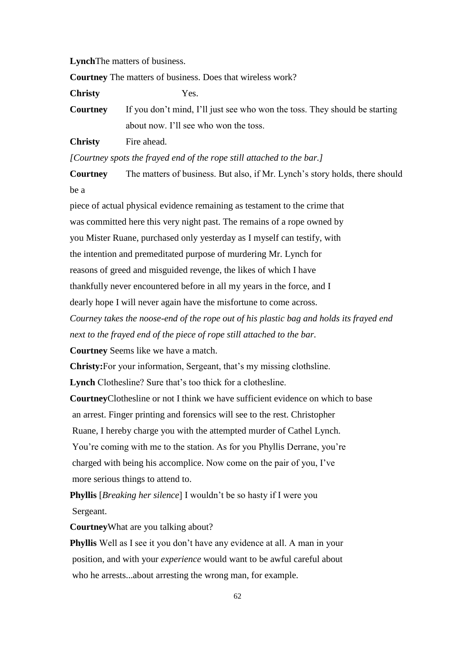**Lynch**The matters of business.

**Courtney** The matters of business. Does that wireless work?

**Christy** Yes.

**Courtney** If you don't mind, I'll just see who won the toss. They should be starting about now. I'll see who won the toss.

**Christy** Fire ahead.

*[Courtney spots the frayed end of the rope still attached to the bar.]*

**Courtney** The matters of business. But also, if Mr. Lynch's story holds, there should be a

piece of actual physical evidence remaining as testament to the crime that was committed here this very night past. The remains of a rope owned by you Mister Ruane, purchased only yesterday as I myself can testify, with the intention and premeditated purpose of murdering Mr. Lynch for reasons of greed and misguided revenge, the likes of which I have thankfully never encountered before in all my years in the force, and I dearly hope I will never again have the misfortune to come across.

*Courney takes the noose-end of the rope out of his plastic bag and holds its frayed end next to the frayed end of the piece of rope still attached to the bar.*

**Courtney** Seems like we have a match.

**Christy:**For your information, Sergeant, that's my missing clothsline.

**Lynch** Clothesline? Sure that's too thick for a clothesline.

**Courtney**Clothesline or not I think we have sufficient evidence on which to base an arrest. Finger printing and forensics will see to the rest. Christopher Ruane, I hereby charge you with the attempted murder of Cathel Lynch. You're coming with me to the station. As for you Phyllis Derrane, you're charged with being his accomplice. Now come on the pair of you, I've

more serious things to attend to.

**Phyllis** [*Breaking her silence*] I wouldn't be so hasty if I were you Sergeant.

**Courtney**What are you talking about?

**Phyllis** Well as I see it you don't have any evidence at all. A man in your position, and with your *experience* would want to be awful careful about who he arrests...about arresting the wrong man, for example.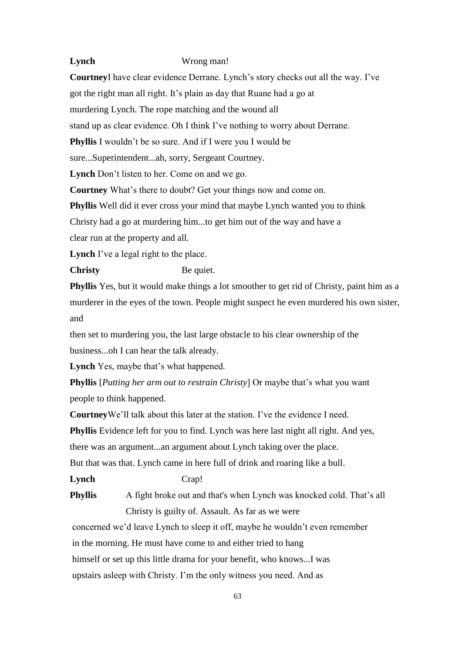# **Lynch** Wrong man!

**Courtney**I have clear evidence Derrane. Lynch's story checks out all the way. I've got the right man all right. It's plain as day that Ruane had a go at murdering Lynch. The rope matching and the wound all stand up as clear evidence. Oh I think I've nothing to worry about Derrane. **Phyllis** I wouldn't be so sure. And if I were you I would be sure...Superintendent...ah, sorry, Sergeant Courtney. **Lynch** Don't listen to her. Come on and we go. **Courtney** What's there to doubt? Get your things now and come on. **Phyllis** Well did it ever cross your mind that maybe Lynch wanted you to think Christy had a go at murdering him...to get him out of the way and have a clear run at the property and all. Lynch I've a legal right to the place. **Christy** Be quiet.

**Phyllis** Yes, but it would make things a lot smoother to get rid of Christy, paint him as a murderer in the eyes of the town. People might suspect he even murdered his own sister, and

then set to murdering you, the last large obstacle to his clear ownership of the business...oh I can hear the talk already.

**Lynch** Yes, maybe that's what happened.

**Phyllis** [*Putting her arm out to restrain Christy*] Or maybe that's what you want people to think happened.

**Courtney**We'll talk about this later at the station. I've the evidence I need.

**Phyllis** Evidence left for you to find. Lynch was here last night all right. And yes,

there was an argument...an argument about Lynch taking over the place.

But that was that. Lynch came in here full of drink and roaring like a bull.

**Lynch** Crap!

**Phyllis** A fight broke out and that's when Lynch was knocked cold. That's all Christy is guilty of. Assault. As far as we were

concerned we'd leave Lynch to sleep it off, maybe he wouldn't even remember in the morning. He must have come to and either tried to hang himself or set up this little drama for your benefit, who knows...I was upstairs asleep with Christy. I'm the only witness you need. And as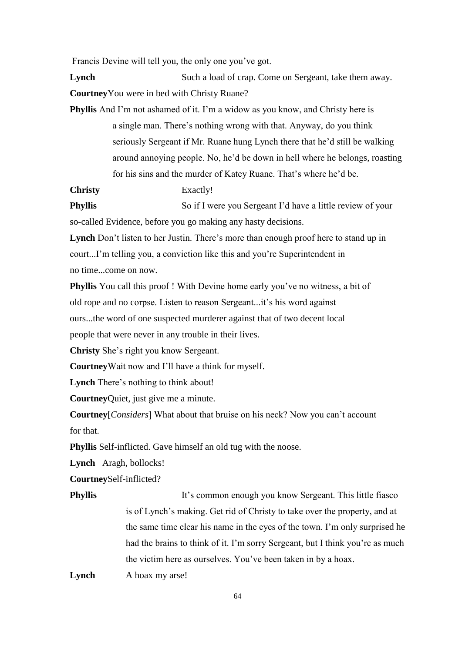Francis Devine will tell you, the only one you've got.

**Lynch** Such a load of crap. Come on Sergeant, take them away. **Courtney**You were in bed with Christy Ruane?

**Phyllis** And I'm not ashamed of it. I'm a widow as you know, and Christy here is a single man. There's nothing wrong with that. Anyway, do you think seriously Sergeant if Mr. Ruane hung Lynch there that he'd still be walking around annoying people. No, he'd be down in hell where he belongs, roasting for his sins and the murder of Katey Ruane. That's where he'd be.

**Christy** Exactly!

**Phyllis** So if I were you Sergeant I'd have a little review of your so-called Evidence, before you go making any hasty decisions.

**Lynch** Don't listen to her Justin. There's more than enough proof here to stand up in court...I'm telling you, a conviction like this and you're Superintendent in no time...come on now.

**Phyllis** You call this proof ! With Devine home early you've no witness, a bit of old rope and no corpse. Listen to reason Sergeant...it's his word against ours...the word of one suspected murderer against that of two decent local people that were never in any trouble in their lives.

**Christy** She's right you know Sergeant.

**Courtney**Wait now and I'll have a think for myself.

**Lynch** There's nothing to think about!

**Courtney**Quiet, just give me a minute.

**Courtney**[*Considers*] What about that bruise on his neck? Now you can't account for that.

**Phyllis** Self-inflicted. Gave himself an old tug with the noose.

**Lynch** Aragh, bollocks!

**Courtney**Self-inflicted?

**Phyllis** It's common enough you know Sergeant. This little fiasco is of Lynch's making. Get rid of Christy to take over the property, and at the same time clear his name in the eyes of the town. I'm only surprised he had the brains to think of it. I'm sorry Sergeant, but I think you're as much the victim here as ourselves. You've been taken in by a hoax.

Lynch A hoax my arse!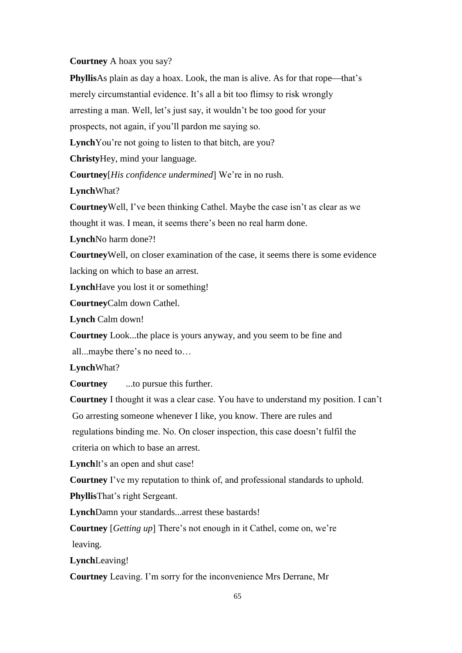# **Courtney** A hoax you say?

**Phyllis**As plain as day a hoax. Look, the man is alive. As for that rope—that's merely circumstantial evidence. It's all a bit too flimsy to risk wrongly arresting a man. Well, let's just say, it wouldn't be too good for your prospects, not again, if you'll pardon me saying so. Lynch<sup>You're not going to listen to that bitch, are you?</sup> **Christy**Hey, mind your language. **Courtney**[*His confidence undermined*] We're in no rush. **Lynch**What? **Courtney**Well, I've been thinking Cathel. Maybe the case isn't as clear as we thought it was. I mean, it seems there's been no real harm done. **Lynch**No harm done?! **Courtney**Well, on closer examination of the case, it seems there is some evidence lacking on which to base an arrest. **Lynch**Have you lost it or something! **Courtney**Calm down Cathel. **Lynch** Calm down! **Courtney** Look...the place is yours anyway, and you seem to be fine and all...maybe there's no need to… **Lynch**What? **Courtney** ...to pursue this further.

**Courtney** I thought it was a clear case. You have to understand my position. I can't Go arresting someone whenever I like, you know. There are rules and regulations binding me. No. On closer inspection, this case doesn't fulfil the criteria on which to base an arrest.

**Lynch**It's an open and shut case!

**Courtney** I've my reputation to think of, and professional standards to uphold.

**Phyllis**That's right Sergeant.

**Lynch**Damn your standards...arrest these bastards!

**Courtney** [*Getting up*] There's not enough in it Cathel, come on, we're leaving.

**Lynch**Leaving!

**Courtney** Leaving. I'm sorry for the inconvenience Mrs Derrane, Mr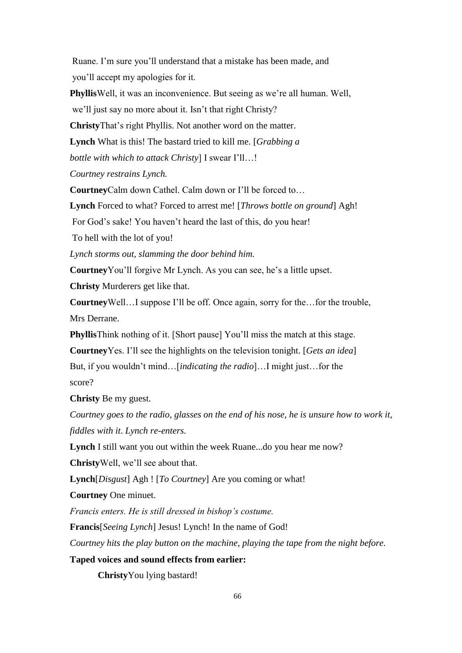Ruane. I'm sure you'll understand that a mistake has been made, and you'll accept my apologies for it.

**Phyllis**Well, it was an inconvenience. But seeing as we're all human. Well,

we'll just say no more about it. Isn't that right Christy?

**Christy**That's right Phyllis. Not another word on the matter.

**Lynch** What is this! The bastard tried to kill me. [*Grabbing a* 

*bottle with which to attack Christy*] I swear I'll…!

*Courtney restrains Lynch.*

**Courtney**Calm down Cathel. Calm down or I'll be forced to…

**Lynch** Forced to what? Forced to arrest me! [*Throws bottle on ground*] Agh!

For God's sake! You haven't heard the last of this, do you hear!

To hell with the lot of you!

*Lynch storms out, slamming the door behind him.*

**Courtney**You'll forgive Mr Lynch. As you can see, he's a little upset.

**Christy** Murderers get like that.

**Courtney**Well…I suppose I'll be off. Once again, sorry for the…for the trouble, Mrs Derrane.

**Phyllis**Think nothing of it. [Short pause] You'll miss the match at this stage.

**Courtney**Yes. I'll see the highlights on the television tonight. [*Gets an idea*] But, if you wouldn't mind…[*indicating the radio*]…I might just…for the

score?

**Christy** Be my guest.

*Courtney goes to the radio, glasses on the end of his nose, he is unsure how to work it, fiddles with it*. *Lynch re-enters.*

**Lynch** I still want you out within the week Ruane...do you hear me now?

**Christy**Well, we'll see about that.

**Lynch**[*Disgust*] Agh ! [*To Courtney*] Are you coming or what!

**Courtney** One minuet.

*Francis enters. He is still dressed in bishop's costume.*

**Francis**[*Seeing Lynch*] Jesus! Lynch! In the name of God!

*Courtney hits the play button on the machine, playing the tape from the night before.*

**Taped voices and sound effects from earlier:**

**Christy**You lying bastard!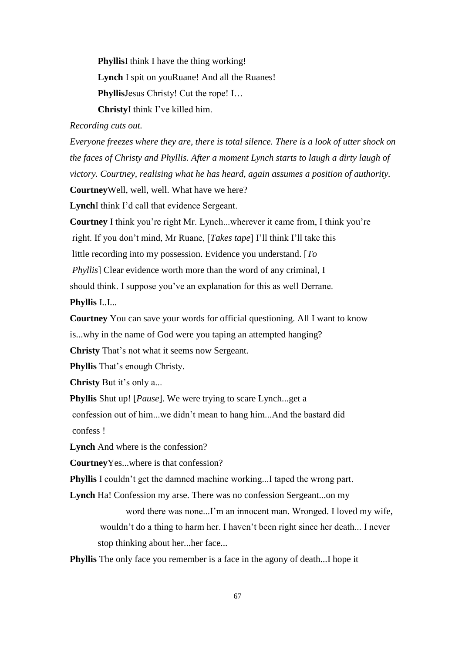**Phyllis**I think I have the thing working! **Lynch** I spit on youRuane! And all the Ruanes! **Phyllis**Jesus Christy! Cut the rope! I... **Christy**I think I've killed him.

#### *Recording cuts out.*

*Everyone freezes where they are, there is total silence. There is a look of utter shock on the faces of Christy and Phyllis. After a moment Lynch starts to laugh a dirty laugh of victory. Courtney, realising what he has heard, again assumes a position of authority.* **Courtney**Well, well, well. What have we here?

**Lynch**I think I'd call that evidence Sergeant.

**Courtney** I think you're right Mr. Lynch...wherever it came from, I think you're right. If you don't mind, Mr Ruane, [*Takes tape*] I'll think I'll take this little recording into my possession. Evidence you understand. [*To Phyllis*] Clear evidence worth more than the word of any criminal, I should think. I suppose you've an explanation for this as well Derrane.

**Phyllis** I..I...

**Courtney** You can save your words for official questioning. All I want to know is...why in the name of God were you taping an attempted hanging?

**Christy** That's not what it seems now Sergeant.

**Phyllis** That's enough Christy.

**Christy** But it's only a...

**Phyllis** Shut up! [*Pause*]. We were trying to scare Lynch...get a

confession out of him...we didn't mean to hang him...And the bastard did confess !

**Lynch** And where is the confession?

**Courtney**Yes...where is that confession?

**Phyllis** I couldn't get the damned machine working...I taped the wrong part.

**Lynch** Ha! Confession my arse. There was no confession Sergeant...on my

word there was none...I'm an innocent man. Wronged. I loved my wife, wouldn't do a thing to harm her. I haven't been right since her death... I never stop thinking about her...her face...

**Phyllis** The only face you remember is a face in the agony of death...I hope it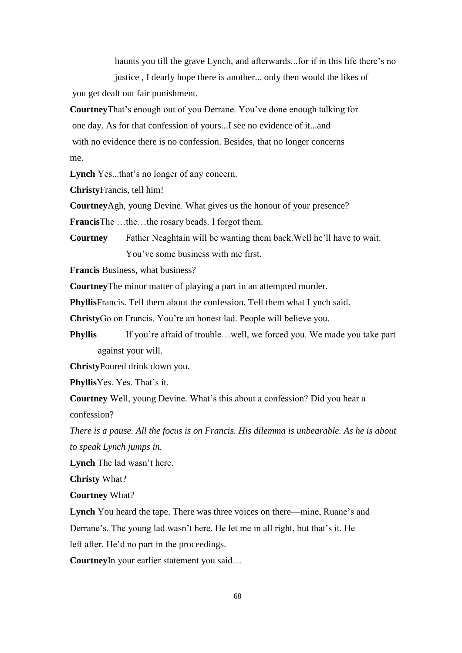haunts you till the grave Lynch, and afterwards...for if in this life there's no justice , I dearly hope there is another... only then would the likes of

you get dealt out fair punishment.

**Courtney**That's enough out of you Derrane. You've done enough talking for one day. As for that confession of yours...I see no evidence of it...and with no evidence there is no confession. Besides, that no longer concerns me.

**Lynch** Yes...that's no longer of any concern.

**Christy**Francis, tell him!

**Courtney**Agh, young Devine. What gives us the honour of your presence?

**Francis**The …the…the rosary beads. I forgot them.

**Courtney** Father Neaghtain will be wanting them back.Well he'll have to wait. You've some business with me first.

**Francis** Business, what business?

**Courtney**The minor matter of playing a part in an attempted murder.

**Phyllis**Francis. Tell them about the confession. Tell them what Lynch said.

**Christy**Go on Francis. You're an honest lad. People will believe you.

**Phyllis** If you're afraid of trouble...well, we forced you. We made you take part against your will.

**Christy**Poured drink down you.

**Phyllis**Yes. Yes. That's it.

**Courtney** Well, young Devine. What's this about a confession? Did you hear a confession?

*There is a pause. All the focus is on Francis. His dilemma is unbearable. As he is about to speak Lynch jumps in.*

**Lynch** The lad wasn't here.

**Christy** What?

**Courtney** What?

**Lynch** You heard the tape. There was three voices on there—mine, Ruane's and Derrane's. The young lad wasn't here. He let me in all right, but that's it. He left after. He'd no part in the proceedings.

**Courtney**In your earlier statement you said…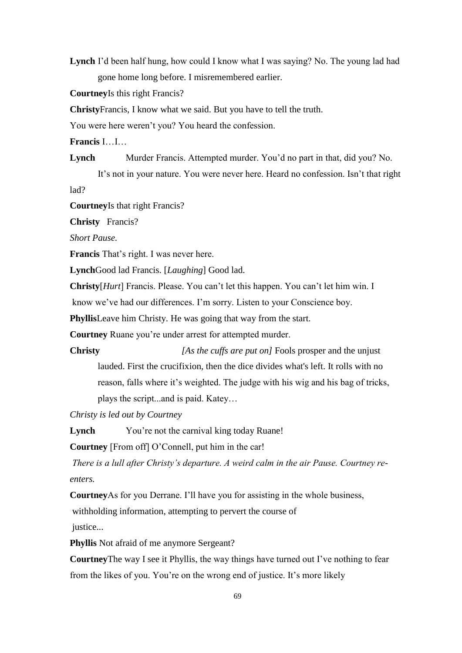**Lynch** I'd been half hung, how could I know what I was saying? No. The young lad had gone home long before. I misremembered earlier.

**Courtney**Is this right Francis?

**Christy**Francis, I know what we said. But you have to tell the truth.

You were here weren't you? You heard the confession.

**Francis** I…I…

**Lynch** Murder Francis. Attempted murder. You'd no part in that, did you? No.

It's not in your nature. You were never here. Heard no confession. Isn't that right lad?

**Courtney**Is that right Francis?

**Christy** Francis?

*Short Pause.*

**Francis** That's right. I was never here.

**Lynch**Good lad Francis. [*Laughing*] Good lad.

**Christy**[*Hurt*] Francis. Please. You can't let this happen. You can't let him win. I

know we've had our differences. I'm sorry. Listen to your Conscience boy.

**Phyllis**Leave him Christy. He was going that way from the start.

**Courtney** Ruane you're under arrest for attempted murder.

**Christy** *<i>Christy [As the cuffs are put on]* Fools prosper and the unjust lauded. First the crucifixion, then the dice divides what's left. It rolls with no reason, falls where it's weighted. The judge with his wig and his bag of tricks, plays the script...and is paid. Katey…

*Christy is led out by Courtney*

Lynch You're not the carnival king today Ruane!

**Courtney** [From off] O'Connell, put him in the car!

*There is a lull after Christy's departure. A weird calm in the air Pause. Courtney reenters.*

**Courtney**As for you Derrane. I'll have you for assisting in the whole business,

withholding information, attempting to pervert the course of

justice...

**Phyllis** Not afraid of me anymore Sergeant?

**Courtney**The way I see it Phyllis, the way things have turned out I've nothing to fear from the likes of you. You're on the wrong end of justice. It's more likely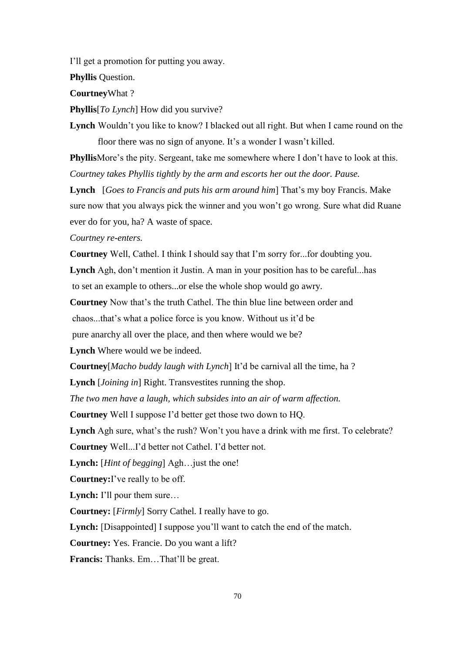I'll get a promotion for putting you away.

**Phyllis** Question.

**Courtney**What ?

**Phyllis**[*To Lynch*] How did you survive?

**Lynch** Wouldn't you like to know? I blacked out all right. But when I came round on the floor there was no sign of anyone. It's a wonder I wasn't killed.

**Phyllis**More's the pity. Sergeant, take me somewhere where I don't have to look at this. *Courtney takes Phyllis tightly by the arm and escorts her out the door. Pause.*

**Lynch** [*Goes to Francis and puts his arm around him*] That's my boy Francis. Make sure now that you always pick the winner and you won't go wrong. Sure what did Ruane ever do for you, ha? A waste of space.

*Courtney re-enters.*

**Courtney** Well, Cathel. I think I should say that I'm sorry for...for doubting you. **Lynch** Agh, don't mention it Justin. A man in your position has to be careful...has to set an example to others...or else the whole shop would go awry.

**Courtney** Now that's the truth Cathel. The thin blue line between order and chaos...that's what a police force is you know. Without us it'd be pure anarchy all over the place, and then where would we be?

**Lynch** Where would we be indeed.

**Courtney**[*Macho buddy laugh with Lynch*] It'd be carnival all the time, ha ?

**Lynch** [*Joining in*] Right. Transvestites running the shop.

*The two men have a laugh, which subsides into an air of warm affection.* 

**Courtney** Well I suppose I'd better get those two down to HQ.

Lynch Agh sure, what's the rush? Won't you have a drink with me first. To celebrate?

**Courtney** Well...I'd better not Cathel. I'd better not.

**Lynch:** [*Hint of begging*] Agh…just the one!

**Courtney:**I've really to be off.

**Lynch:** I'll pour them sure…

**Courtney:** [*Firmly*] Sorry Cathel. I really have to go.

**Lynch:** [Disappointed] I suppose you'll want to catch the end of the match.

**Courtney:** Yes. Francie. Do you want a lift?

**Francis:** Thanks. Em…That'll be great.